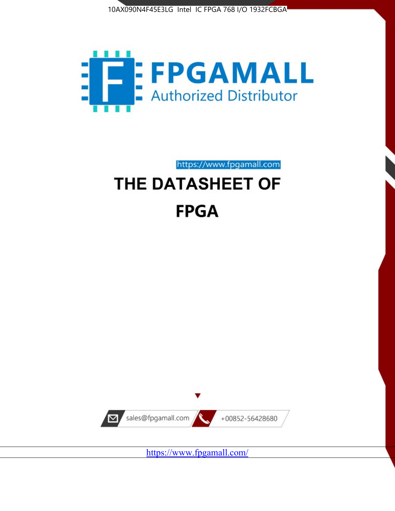



https://www.fpgamall.com

# THE DATASHEET OF **FPGA**



<https://www.fpgamall.com/>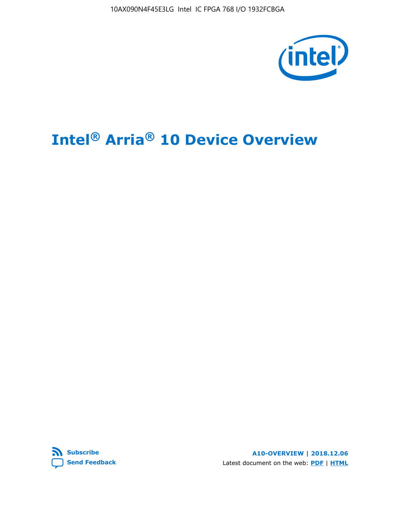10AX090N4F45E3LG Intel IC FPGA 768 I/O 1932FCBGA



# **Intel® Arria® 10 Device Overview**



**A10-OVERVIEW | 2018.12.06** Latest document on the web: **[PDF](https://www.intel.com/content/dam/www/programmable/us/en/pdfs/literature/hb/arria-10/a10_overview.pdf)** | **[HTML](https://www.intel.com/content/www/us/en/programmable/documentation/sam1403480274650.html)**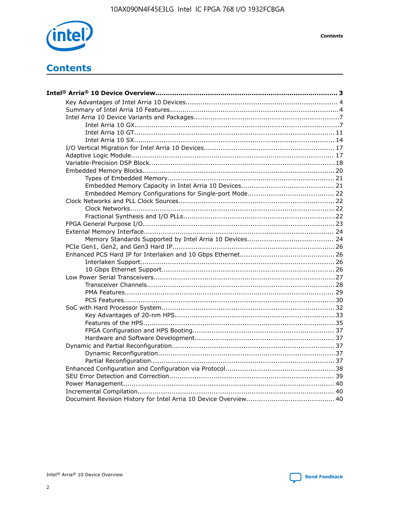

**Contents** 

## **Contents**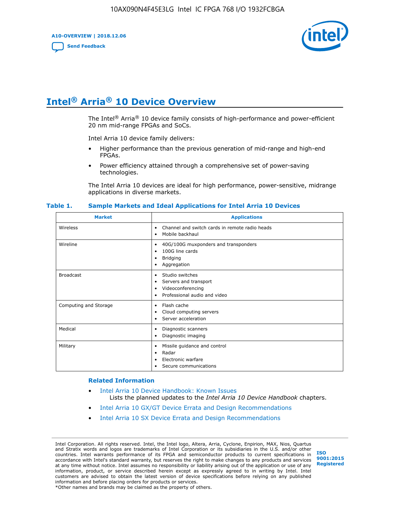**A10-OVERVIEW | 2018.12.06**

**[Send Feedback](mailto:FPGAtechdocfeedback@intel.com?subject=Feedback%20on%20Intel%20Arria%2010%20Device%20Overview%20(A10-OVERVIEW%202018.12.06)&body=We%20appreciate%20your%20feedback.%20In%20your%20comments,%20also%20specify%20the%20page%20number%20or%20paragraph.%20Thank%20you.)**



## **Intel® Arria® 10 Device Overview**

The Intel<sup>®</sup> Arria<sup>®</sup> 10 device family consists of high-performance and power-efficient 20 nm mid-range FPGAs and SoCs.

Intel Arria 10 device family delivers:

- Higher performance than the previous generation of mid-range and high-end FPGAs.
- Power efficiency attained through a comprehensive set of power-saving technologies.

The Intel Arria 10 devices are ideal for high performance, power-sensitive, midrange applications in diverse markets.

| <b>Market</b>         | <b>Applications</b>                                                                                               |
|-----------------------|-------------------------------------------------------------------------------------------------------------------|
| Wireless              | Channel and switch cards in remote radio heads<br>٠<br>Mobile backhaul<br>٠                                       |
| Wireline              | 40G/100G muxponders and transponders<br>٠<br>100G line cards<br>٠<br><b>Bridging</b><br>٠<br>Aggregation<br>٠     |
| <b>Broadcast</b>      | Studio switches<br>٠<br>Servers and transport<br>٠<br>Videoconferencing<br>٠<br>Professional audio and video<br>٠ |
| Computing and Storage | Flash cache<br>٠<br>Cloud computing servers<br>٠<br>Server acceleration<br>٠                                      |
| Medical               | Diagnostic scanners<br>٠<br>Diagnostic imaging<br>٠                                                               |
| Military              | Missile guidance and control<br>٠<br>Radar<br>٠<br>Electronic warfare<br>٠<br>Secure communications<br>٠          |

#### **Table 1. Sample Markets and Ideal Applications for Intel Arria 10 Devices**

#### **Related Information**

- [Intel Arria 10 Device Handbook: Known Issues](http://www.altera.com/support/kdb/solutions/rd07302013_646.html) Lists the planned updates to the *Intel Arria 10 Device Handbook* chapters.
- [Intel Arria 10 GX/GT Device Errata and Design Recommendations](https://www.intel.com/content/www/us/en/programmable/documentation/agz1493851706374.html#yqz1494433888646)
- [Intel Arria 10 SX Device Errata and Design Recommendations](https://www.intel.com/content/www/us/en/programmable/documentation/cru1462832385668.html#cru1462832558642)

Intel Corporation. All rights reserved. Intel, the Intel logo, Altera, Arria, Cyclone, Enpirion, MAX, Nios, Quartus and Stratix words and logos are trademarks of Intel Corporation or its subsidiaries in the U.S. and/or other countries. Intel warrants performance of its FPGA and semiconductor products to current specifications in accordance with Intel's standard warranty, but reserves the right to make changes to any products and services at any time without notice. Intel assumes no responsibility or liability arising out of the application or use of any information, product, or service described herein except as expressly agreed to in writing by Intel. Intel customers are advised to obtain the latest version of device specifications before relying on any published information and before placing orders for products or services. \*Other names and brands may be claimed as the property of others.

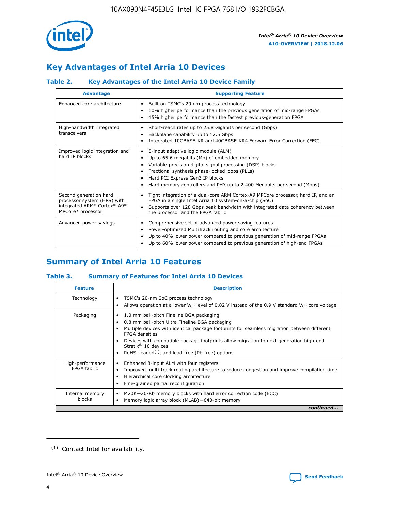

## **Key Advantages of Intel Arria 10 Devices**

### **Table 2. Key Advantages of the Intel Arria 10 Device Family**

| <b>Advantage</b>                                                                                          | <b>Supporting Feature</b>                                                                                                                                                                                                                                                                                                |
|-----------------------------------------------------------------------------------------------------------|--------------------------------------------------------------------------------------------------------------------------------------------------------------------------------------------------------------------------------------------------------------------------------------------------------------------------|
| Enhanced core architecture                                                                                | Built on TSMC's 20 nm process technology<br>٠<br>60% higher performance than the previous generation of mid-range FPGAs<br>٠<br>15% higher performance than the fastest previous-generation FPGA<br>٠                                                                                                                    |
| High-bandwidth integrated<br>transceivers                                                                 | Short-reach rates up to 25.8 Gigabits per second (Gbps)<br>٠<br>Backplane capability up to 12.5 Gbps<br>٠<br>Integrated 10GBASE-KR and 40GBASE-KR4 Forward Error Correction (FEC)<br>٠                                                                                                                                   |
| Improved logic integration and<br>hard IP blocks                                                          | 8-input adaptive logic module (ALM)<br>٠<br>Up to 65.6 megabits (Mb) of embedded memory<br>٠<br>Variable-precision digital signal processing (DSP) blocks<br>Fractional synthesis phase-locked loops (PLLs)<br>Hard PCI Express Gen3 IP blocks<br>Hard memory controllers and PHY up to 2,400 Megabits per second (Mbps) |
| Second generation hard<br>processor system (HPS) with<br>integrated ARM* Cortex*-A9*<br>MPCore* processor | Tight integration of a dual-core ARM Cortex-A9 MPCore processor, hard IP, and an<br>٠<br>FPGA in a single Intel Arria 10 system-on-a-chip (SoC)<br>Supports over 128 Gbps peak bandwidth with integrated data coherency between<br>$\bullet$<br>the processor and the FPGA fabric                                        |
| Advanced power savings                                                                                    | Comprehensive set of advanced power saving features<br>٠<br>Power-optimized MultiTrack routing and core architecture<br>٠<br>Up to 40% lower power compared to previous generation of mid-range FPGAs<br>Up to 60% lower power compared to previous generation of high-end FPGAs                                         |

## **Summary of Intel Arria 10 Features**

#### **Table 3. Summary of Features for Intel Arria 10 Devices**

| <b>Feature</b>                  | <b>Description</b>                                                                                                                                                                                                                                                                                                                                                                                           |
|---------------------------------|--------------------------------------------------------------------------------------------------------------------------------------------------------------------------------------------------------------------------------------------------------------------------------------------------------------------------------------------------------------------------------------------------------------|
| Technology                      | TSMC's 20-nm SoC process technology<br>Allows operation at a lower $V_{\text{CC}}$ level of 0.82 V instead of the 0.9 V standard $V_{\text{CC}}$ core voltage                                                                                                                                                                                                                                                |
| Packaging                       | 1.0 mm ball-pitch Fineline BGA packaging<br>٠<br>0.8 mm ball-pitch Ultra Fineline BGA packaging<br>Multiple devices with identical package footprints for seamless migration between different<br><b>FPGA</b> densities<br>Devices with compatible package footprints allow migration to next generation high-end<br>Stratix <sup>®</sup> 10 devices<br>RoHS, leaded $(1)$ , and lead-free (Pb-free) options |
| High-performance<br>FPGA fabric | Enhanced 8-input ALM with four registers<br>Improved multi-track routing architecture to reduce congestion and improve compilation time<br>Hierarchical core clocking architecture<br>Fine-grained partial reconfiguration                                                                                                                                                                                   |
| Internal memory<br>blocks       | M20K-20-Kb memory blocks with hard error correction code (ECC)<br>Memory logic array block (MLAB)-640-bit memory                                                                                                                                                                                                                                                                                             |
|                                 | continued                                                                                                                                                                                                                                                                                                                                                                                                    |



<sup>(1)</sup> Contact Intel for availability.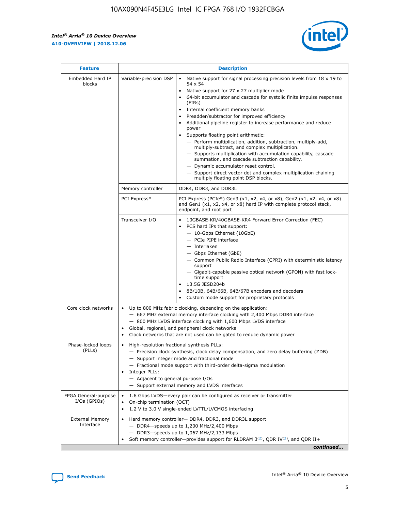r



| <b>Feature</b>                         |                                                                                                                                                                                                                                                                                                                                       | <b>Description</b>                                                                                                                                                                                                                                                                                                                                                                                                                                                                                                                                                                                                                                                                                                                                                                                                                                                            |  |  |  |  |
|----------------------------------------|---------------------------------------------------------------------------------------------------------------------------------------------------------------------------------------------------------------------------------------------------------------------------------------------------------------------------------------|-------------------------------------------------------------------------------------------------------------------------------------------------------------------------------------------------------------------------------------------------------------------------------------------------------------------------------------------------------------------------------------------------------------------------------------------------------------------------------------------------------------------------------------------------------------------------------------------------------------------------------------------------------------------------------------------------------------------------------------------------------------------------------------------------------------------------------------------------------------------------------|--|--|--|--|
| Embedded Hard IP<br>blocks             | Variable-precision DSP                                                                                                                                                                                                                                                                                                                | Native support for signal processing precision levels from $18 \times 19$ to<br>$\bullet$<br>54 x 54<br>Native support for 27 x 27 multiplier mode<br>$\bullet$<br>64-bit accumulator and cascade for systolic finite impulse responses<br>$\bullet$<br>(FIRs)<br>Internal coefficient memory banks<br>$\bullet$<br>Preadder/subtractor for improved efficiency<br>Additional pipeline register to increase performance and reduce<br>power<br>Supports floating point arithmetic:<br>- Perform multiplication, addition, subtraction, multiply-add,<br>multiply-subtract, and complex multiplication.<br>- Supports multiplication with accumulation capability, cascade<br>summation, and cascade subtraction capability.<br>- Dynamic accumulator reset control.<br>- Support direct vector dot and complex multiplication chaining<br>multiply floating point DSP blocks. |  |  |  |  |
|                                        | Memory controller                                                                                                                                                                                                                                                                                                                     | DDR4, DDR3, and DDR3L                                                                                                                                                                                                                                                                                                                                                                                                                                                                                                                                                                                                                                                                                                                                                                                                                                                         |  |  |  |  |
|                                        | PCI Express*                                                                                                                                                                                                                                                                                                                          | PCI Express (PCIe*) Gen3 (x1, x2, x4, or x8), Gen2 (x1, x2, x4, or x8)<br>and Gen1 (x1, x2, x4, or x8) hard IP with complete protocol stack,<br>endpoint, and root port                                                                                                                                                                                                                                                                                                                                                                                                                                                                                                                                                                                                                                                                                                       |  |  |  |  |
|                                        | Transceiver I/O                                                                                                                                                                                                                                                                                                                       | 10GBASE-KR/40GBASE-KR4 Forward Error Correction (FEC)<br>PCS hard IPs that support:<br>٠<br>- 10-Gbps Ethernet (10GbE)<br>- PCIe PIPE interface<br>- Interlaken<br>- Gbps Ethernet (GbE)<br>- Common Public Radio Interface (CPRI) with deterministic latency<br>support<br>- Gigabit-capable passive optical network (GPON) with fast lock-<br>time support<br>13.5G JESD204b<br>$\bullet$<br>8B/10B, 64B/66B, 64B/67B encoders and decoders<br>$\bullet$<br>Custom mode support for proprietary protocols                                                                                                                                                                                                                                                                                                                                                                   |  |  |  |  |
| Core clock networks                    | $\bullet$                                                                                                                                                                                                                                                                                                                             | Up to 800 MHz fabric clocking, depending on the application:<br>- 667 MHz external memory interface clocking with 2,400 Mbps DDR4 interface<br>- 800 MHz LVDS interface clocking with 1,600 Mbps LVDS interface<br>Global, regional, and peripheral clock networks<br>Clock networks that are not used can be gated to reduce dynamic power                                                                                                                                                                                                                                                                                                                                                                                                                                                                                                                                   |  |  |  |  |
| Phase-locked loops<br>(PLLs)           | High-resolution fractional synthesis PLLs:<br>٠<br>Integer PLLs:<br>- Adjacent to general purpose I/Os                                                                                                                                                                                                                                | - Precision clock synthesis, clock delay compensation, and zero delay buffering (ZDB)<br>- Support integer mode and fractional mode<br>- Fractional mode support with third-order delta-sigma modulation<br>- Support external memory and LVDS interfaces                                                                                                                                                                                                                                                                                                                                                                                                                                                                                                                                                                                                                     |  |  |  |  |
| FPGA General-purpose<br>$I/Os$ (GPIOs) | On-chip termination (OCT)<br>٠                                                                                                                                                                                                                                                                                                        | 1.6 Gbps LVDS-every pair can be configured as receiver or transmitter                                                                                                                                                                                                                                                                                                                                                                                                                                                                                                                                                                                                                                                                                                                                                                                                         |  |  |  |  |
| <b>External Memory</b><br>Interface    | 1.2 V to 3.0 V single-ended LVTTL/LVCMOS interfacing<br>Hard memory controller- DDR4, DDR3, and DDR3L support<br>$\bullet$<br>$-$ DDR4 $-$ speeds up to 1,200 MHz/2,400 Mbps<br>- DDR3-speeds up to 1,067 MHz/2,133 Mbps<br>Soft memory controller—provides support for RLDRAM $3^{(2)}$ , QDR IV $^{(2)}$ , and QDR II+<br>continued |                                                                                                                                                                                                                                                                                                                                                                                                                                                                                                                                                                                                                                                                                                                                                                                                                                                                               |  |  |  |  |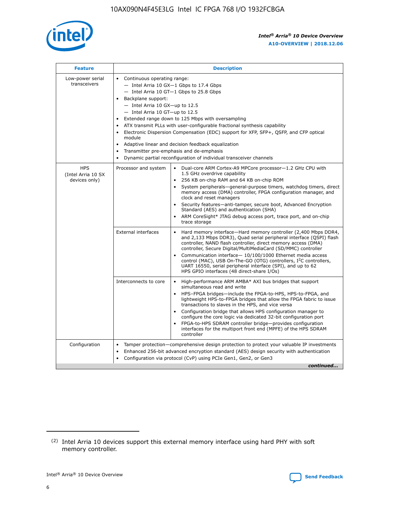

| <b>Feature</b>                                    | <b>Description</b>                                                                                                                                                                                                                                                                                                                                                                                                                                                                                                                                                                                                                             |  |  |  |  |  |  |  |
|---------------------------------------------------|------------------------------------------------------------------------------------------------------------------------------------------------------------------------------------------------------------------------------------------------------------------------------------------------------------------------------------------------------------------------------------------------------------------------------------------------------------------------------------------------------------------------------------------------------------------------------------------------------------------------------------------------|--|--|--|--|--|--|--|
| Low-power serial<br>transceivers                  | • Continuous operating range:<br>- Intel Arria 10 GX-1 Gbps to 17.4 Gbps<br>- Intel Arria 10 GT-1 Gbps to 25.8 Gbps<br>Backplane support:<br>$-$ Intel Arria 10 GX-up to 12.5<br>$-$ Intel Arria 10 GT-up to 12.5<br>Extended range down to 125 Mbps with oversampling<br>ATX transmit PLLs with user-configurable fractional synthesis capability<br>• Electronic Dispersion Compensation (EDC) support for XFP, SFP+, QSFP, and CFP optical<br>module<br>• Adaptive linear and decision feedback equalization<br>Transmitter pre-emphasis and de-emphasis<br>$\bullet$<br>Dynamic partial reconfiguration of individual transceiver channels |  |  |  |  |  |  |  |
| <b>HPS</b><br>(Intel Arria 10 SX<br>devices only) | Processor and system<br>Dual-core ARM Cortex-A9 MPCore processor-1.2 GHz CPU with<br>$\bullet$<br>1.5 GHz overdrive capability<br>256 KB on-chip RAM and 64 KB on-chip ROM<br>$\bullet$<br>System peripherals-general-purpose timers, watchdog timers, direct<br>memory access (DMA) controller, FPGA configuration manager, and<br>clock and reset managers<br>• Security features—anti-tamper, secure boot, Advanced Encryption<br>Standard (AES) and authentication (SHA)<br>ARM CoreSight* JTAG debug access port, trace port, and on-chip<br>trace storage                                                                                |  |  |  |  |  |  |  |
|                                                   | <b>External interfaces</b><br>Hard memory interface—Hard memory controller (2,400 Mbps DDR4,<br>$\bullet$<br>and 2,133 Mbps DDR3), Quad serial peripheral interface (QSPI) flash<br>controller, NAND flash controller, direct memory access (DMA)<br>controller, Secure Digital/MultiMediaCard (SD/MMC) controller<br>Communication interface-10/100/1000 Ethernet media access<br>control (MAC), USB On-The-GO (OTG) controllers, I <sup>2</sup> C controllers,<br>UART 16550, serial peripheral interface (SPI), and up to 62<br>HPS GPIO interfaces (48 direct-share I/Os)                                                                  |  |  |  |  |  |  |  |
|                                                   | High-performance ARM AMBA* AXI bus bridges that support<br>Interconnects to core<br>$\bullet$<br>simultaneous read and write<br>HPS-FPGA bridges—include the FPGA-to-HPS, HPS-to-FPGA, and<br>$\bullet$<br>lightweight HPS-to-FPGA bridges that allow the FPGA fabric to issue<br>transactions to slaves in the HPS, and vice versa<br>Configuration bridge that allows HPS configuration manager to<br>configure the core logic via dedicated 32-bit configuration port<br>FPGA-to-HPS SDRAM controller bridge-provides configuration<br>interfaces for the multiport front end (MPFE) of the HPS SDRAM<br>controller                         |  |  |  |  |  |  |  |
| Configuration                                     | Tamper protection—comprehensive design protection to protect your valuable IP investments<br>Enhanced 256-bit advanced encryption standard (AES) design security with authentication<br>$\bullet$<br>Configuration via protocol (CvP) using PCIe Gen1, Gen2, or Gen3<br>continued                                                                                                                                                                                                                                                                                                                                                              |  |  |  |  |  |  |  |

<sup>(2)</sup> Intel Arria 10 devices support this external memory interface using hard PHY with soft memory controller.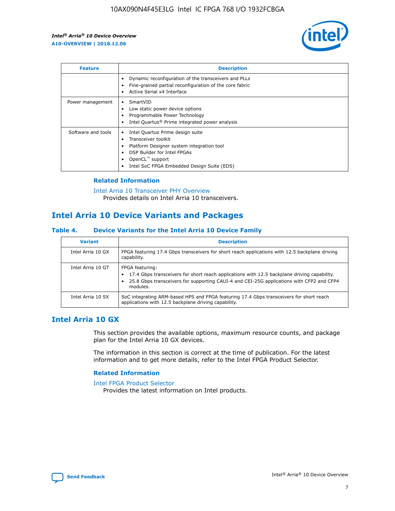

| <b>Feature</b>     | <b>Description</b>                                                                                                                                                                                                            |
|--------------------|-------------------------------------------------------------------------------------------------------------------------------------------------------------------------------------------------------------------------------|
|                    | Dynamic reconfiguration of the transceivers and PLLs<br>Fine-grained partial reconfiguration of the core fabric<br>Active Serial x4 Interface<br>$\bullet$                                                                    |
| Power management   | SmartVID<br>Low static power device options<br>Programmable Power Technology<br>Intel Quartus <sup>®</sup> Prime integrated power analysis                                                                                    |
| Software and tools | Intel Quartus Prime design suite<br>Transceiver toolkit<br>$\bullet$<br>Platform Designer system integration tool<br>DSP Builder for Intel FPGAs<br>OpenCL <sup>™</sup> support<br>Intel SoC FPGA Embedded Design Suite (EDS) |

#### **Related Information**

[Intel Arria 10 Transceiver PHY Overview](https://www.intel.com/content/www/us/en/programmable/documentation/nik1398707230472.html#nik1398706768037) Provides details on Intel Arria 10 transceivers.

## **Intel Arria 10 Device Variants and Packages**

#### **Table 4. Device Variants for the Intel Arria 10 Device Family**

| <b>Variant</b>    | <b>Description</b>                                                                                                                                                                                                     |
|-------------------|------------------------------------------------------------------------------------------------------------------------------------------------------------------------------------------------------------------------|
| Intel Arria 10 GX | FPGA featuring 17.4 Gbps transceivers for short reach applications with 12.5 backplane driving<br>capability.                                                                                                          |
| Intel Arria 10 GT | FPGA featuring:<br>17.4 Gbps transceivers for short reach applications with 12.5 backplane driving capability.<br>25.8 Gbps transceivers for supporting CAUI-4 and CEI-25G applications with CFP2 and CFP4<br>modules. |
| Intel Arria 10 SX | SoC integrating ARM-based HPS and FPGA featuring 17.4 Gbps transceivers for short reach<br>applications with 12.5 backplane driving capability.                                                                        |

## **Intel Arria 10 GX**

This section provides the available options, maximum resource counts, and package plan for the Intel Arria 10 GX devices.

The information in this section is correct at the time of publication. For the latest information and to get more details, refer to the Intel FPGA Product Selector.

#### **Related Information**

#### [Intel FPGA Product Selector](http://www.altera.com/products/selector/psg-selector.html) Provides the latest information on Intel products.

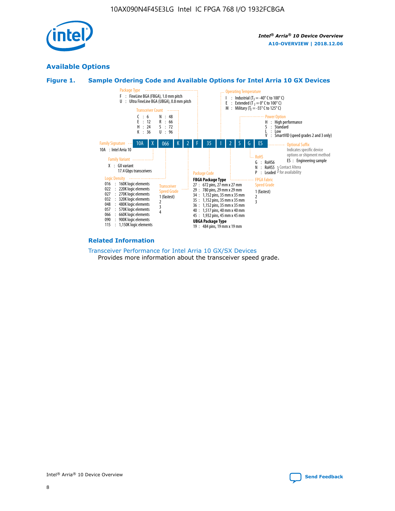

## **Available Options**





#### **Related Information**

[Transceiver Performance for Intel Arria 10 GX/SX Devices](https://www.intel.com/content/www/us/en/programmable/documentation/mcn1413182292568.html#mcn1413213965502) Provides more information about the transceiver speed grade.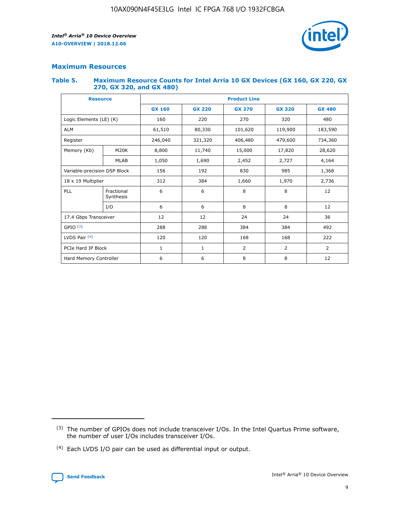

#### **Maximum Resources**

#### **Table 5. Maximum Resource Counts for Intel Arria 10 GX Devices (GX 160, GX 220, GX 270, GX 320, and GX 480)**

| <b>Resource</b>              |                         | <b>Product Line</b> |                                                 |                |                |                |  |  |  |
|------------------------------|-------------------------|---------------------|-------------------------------------------------|----------------|----------------|----------------|--|--|--|
|                              |                         | <b>GX 160</b>       | <b>GX 220</b><br><b>GX 270</b><br><b>GX 320</b> |                |                | <b>GX 480</b>  |  |  |  |
| Logic Elements (LE) (K)      |                         | 160                 | 220                                             | 270            | 320            | 480            |  |  |  |
| <b>ALM</b>                   |                         | 61,510              | 80,330                                          | 101,620        | 119,900        | 183,590        |  |  |  |
| Register                     |                         | 246,040             | 406,480<br>321,320                              |                | 479,600        | 734,360        |  |  |  |
| Memory (Kb)                  | M <sub>20</sub> K       | 8,800               | 11,740                                          | 15,000         | 17,820         | 28,620         |  |  |  |
|                              | <b>MLAB</b>             | 1,050               | 1,690                                           | 2,452<br>2,727 |                | 4,164          |  |  |  |
| Variable-precision DSP Block |                         | 156                 | 192                                             | 830            | 985            | 1,368          |  |  |  |
| 18 x 19 Multiplier           |                         | 312                 | 384                                             | 1,970<br>1,660 |                | 2,736          |  |  |  |
| PLL                          | Fractional<br>Synthesis | 6                   | 6                                               | 8              | 8              | 12             |  |  |  |
|                              | I/O                     | 6                   | 6                                               | 8              | 8              | 12             |  |  |  |
| 17.4 Gbps Transceiver        |                         | 12                  | 12                                              | 24             | 24             | 36             |  |  |  |
| GPIO <sup>(3)</sup>          |                         | 288                 | 288                                             | 384            | 384            | 492            |  |  |  |
| LVDS Pair $(4)$              |                         | 120                 | 120                                             | 168            | 168            | 222            |  |  |  |
| PCIe Hard IP Block           |                         | 1                   | 1                                               | 2              | $\overline{2}$ | $\overline{2}$ |  |  |  |
| Hard Memory Controller       |                         | 6                   | 6                                               | 8              | 8              | 12             |  |  |  |

<sup>(4)</sup> Each LVDS I/O pair can be used as differential input or output.



<sup>(3)</sup> The number of GPIOs does not include transceiver I/Os. In the Intel Quartus Prime software, the number of user I/Os includes transceiver I/Os.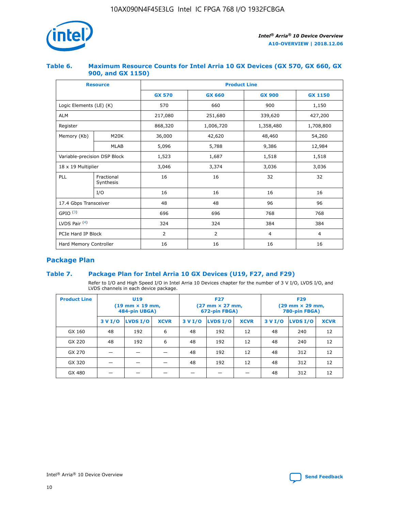

#### **Table 6. Maximum Resource Counts for Intel Arria 10 GX Devices (GX 570, GX 660, GX 900, and GX 1150)**

|                              | <b>Resource</b>         | <b>Product Line</b> |                |                |                |  |  |  |
|------------------------------|-------------------------|---------------------|----------------|----------------|----------------|--|--|--|
|                              |                         | <b>GX 570</b>       | <b>GX 660</b>  | <b>GX 900</b>  | <b>GX 1150</b> |  |  |  |
| Logic Elements (LE) (K)      |                         | 570                 | 660            | 900            | 1,150          |  |  |  |
| <b>ALM</b>                   |                         | 217,080             | 251,680        | 339,620        | 427,200        |  |  |  |
| Register                     |                         | 868,320             | 1,006,720      |                | 1,708,800      |  |  |  |
| Memory (Kb)                  | <b>M20K</b>             | 36,000              | 42,620         | 48,460         | 54,260         |  |  |  |
|                              | <b>MLAB</b>             | 5,096               | 5,788          | 9,386          | 12,984         |  |  |  |
| Variable-precision DSP Block |                         | 1,523               | 1,687          | 1,518          | 1,518          |  |  |  |
| $18 \times 19$ Multiplier    |                         | 3,046               | 3,374          | 3,036          | 3,036          |  |  |  |
| PLL                          | Fractional<br>Synthesis | 16                  | 16             | 32             | 32             |  |  |  |
|                              | I/O                     | 16                  | 16             | 16             | 16             |  |  |  |
| 17.4 Gbps Transceiver        |                         | 48                  | 48<br>96       |                | 96             |  |  |  |
| GPIO <sup>(3)</sup>          |                         | 696                 | 696            | 768            | 768            |  |  |  |
| LVDS Pair $(4)$              |                         | 324                 | 324            | 384            | 384            |  |  |  |
| PCIe Hard IP Block           |                         | 2                   | $\overline{2}$ | $\overline{4}$ | 4              |  |  |  |
| Hard Memory Controller       |                         | 16                  | 16             | 16             | 16             |  |  |  |

## **Package Plan**

#### **Table 7. Package Plan for Intel Arria 10 GX Devices (U19, F27, and F29)**

Refer to I/O and High Speed I/O in Intel Arria 10 Devices chapter for the number of 3 V I/O, LVDS I/O, and LVDS channels in each device package.

| <b>Product Line</b> | <b>U19</b><br>$(19 \text{ mm} \times 19 \text{ mm})$<br>484-pin UBGA) |          |             | <b>F27</b><br>(27 mm × 27 mm,<br>672-pin FBGA) |          |             | <b>F29</b><br>(29 mm × 29 mm,<br>780-pin FBGA) |          |             |
|---------------------|-----------------------------------------------------------------------|----------|-------------|------------------------------------------------|----------|-------------|------------------------------------------------|----------|-------------|
|                     | 3 V I/O                                                               | LVDS I/O | <b>XCVR</b> | 3 V I/O                                        | LVDS I/O | <b>XCVR</b> | 3 V I/O                                        | LVDS I/O | <b>XCVR</b> |
| GX 160              | 48                                                                    | 192      | 6           | 48                                             | 192      | 12          | 48                                             | 240      | 12          |
| GX 220              | 48                                                                    | 192      | 6           | 48                                             | 192      | 12          | 48                                             | 240      | 12          |
| GX 270              |                                                                       |          |             | 48                                             | 192      | 12          | 48                                             | 312      | 12          |
| GX 320              |                                                                       |          |             | 48                                             | 192      | 12          | 48                                             | 312      | 12          |
| GX 480              |                                                                       |          |             |                                                |          |             | 48                                             | 312      | 12          |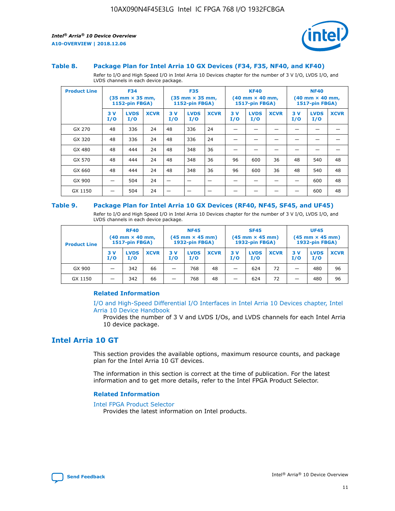

#### **Table 8. Package Plan for Intel Arria 10 GX Devices (F34, F35, NF40, and KF40)**

Refer to I/O and High Speed I/O in Intel Arria 10 Devices chapter for the number of 3 V I/O, LVDS I/O, and LVDS channels in each device package.

| <b>Product Line</b> | <b>F34</b><br>$(35 \text{ mm} \times 35 \text{ mm})$<br>1152-pin FBGA) |                    | <b>F35</b><br>$(35 \text{ mm} \times 35 \text{ mm})$<br><b>1152-pin FBGA)</b> |           | <b>KF40</b><br>$(40$ mm $\times$ 40 mm,<br>1517-pin FBGA) |             |           | <b>NF40</b><br>$(40$ mm $\times$ 40 mm,<br><b>1517-pin FBGA)</b> |             |            |                    |             |
|---------------------|------------------------------------------------------------------------|--------------------|-------------------------------------------------------------------------------|-----------|-----------------------------------------------------------|-------------|-----------|------------------------------------------------------------------|-------------|------------|--------------------|-------------|
|                     | 3V<br>I/O                                                              | <b>LVDS</b><br>I/O | <b>XCVR</b>                                                                   | 3V<br>I/O | <b>LVDS</b><br>I/O                                        | <b>XCVR</b> | 3V<br>I/O | <b>LVDS</b><br>I/O                                               | <b>XCVR</b> | 3 V<br>I/O | <b>LVDS</b><br>I/O | <b>XCVR</b> |
| GX 270              | 48                                                                     | 336                | 24                                                                            | 48        | 336                                                       | 24          |           |                                                                  |             |            |                    |             |
| GX 320              | 48                                                                     | 336                | 24                                                                            | 48        | 336                                                       | 24          |           |                                                                  |             |            |                    |             |
| GX 480              | 48                                                                     | 444                | 24                                                                            | 48        | 348                                                       | 36          |           |                                                                  |             |            |                    |             |
| GX 570              | 48                                                                     | 444                | 24                                                                            | 48        | 348                                                       | 36          | 96        | 600                                                              | 36          | 48         | 540                | 48          |
| GX 660              | 48                                                                     | 444                | 24                                                                            | 48        | 348                                                       | 36          | 96        | 600                                                              | 36          | 48         | 540                | 48          |
| GX 900              |                                                                        | 504                | 24                                                                            | -         |                                                           |             |           |                                                                  |             |            | 600                | 48          |
| GX 1150             |                                                                        | 504                | 24                                                                            |           |                                                           |             |           |                                                                  |             |            | 600                | 48          |

#### **Table 9. Package Plan for Intel Arria 10 GX Devices (RF40, NF45, SF45, and UF45)**

Refer to I/O and High Speed I/O in Intel Arria 10 Devices chapter for the number of 3 V I/O, LVDS I/O, and LVDS channels in each device package.

| <b>Product Line</b> | <b>RF40</b><br>$(40$ mm $\times$ 40 mm,<br>1517-pin FBGA) |                    |             | <b>NF45</b><br>$(45 \text{ mm} \times 45 \text{ mm})$<br><b>1932-pin FBGA)</b> |                    |             | <b>SF45</b><br>$(45 \text{ mm} \times 45 \text{ mm})$<br><b>1932-pin FBGA)</b> |                    |             | <b>UF45</b><br>$(45 \text{ mm} \times 45 \text{ mm})$<br><b>1932-pin FBGA)</b> |                    |             |
|---------------------|-----------------------------------------------------------|--------------------|-------------|--------------------------------------------------------------------------------|--------------------|-------------|--------------------------------------------------------------------------------|--------------------|-------------|--------------------------------------------------------------------------------|--------------------|-------------|
|                     | 3V<br>I/O                                                 | <b>LVDS</b><br>I/O | <b>XCVR</b> | 3 V<br>I/O                                                                     | <b>LVDS</b><br>I/O | <b>XCVR</b> | 3 V<br>I/O                                                                     | <b>LVDS</b><br>I/O | <b>XCVR</b> | 3V<br>I/O                                                                      | <b>LVDS</b><br>I/O | <b>XCVR</b> |
| GX 900              |                                                           | 342                | 66          | _                                                                              | 768                | 48          |                                                                                | 624                | 72          |                                                                                | 480                | 96          |
| GX 1150             |                                                           | 342                | 66          | _                                                                              | 768                | 48          |                                                                                | 624                | 72          |                                                                                | 480                | 96          |

#### **Related Information**

[I/O and High-Speed Differential I/O Interfaces in Intel Arria 10 Devices chapter, Intel](https://www.intel.com/content/www/us/en/programmable/documentation/sam1403482614086.html#sam1403482030321) [Arria 10 Device Handbook](https://www.intel.com/content/www/us/en/programmable/documentation/sam1403482614086.html#sam1403482030321)

Provides the number of 3 V and LVDS I/Os, and LVDS channels for each Intel Arria 10 device package.

## **Intel Arria 10 GT**

This section provides the available options, maximum resource counts, and package plan for the Intel Arria 10 GT devices.

The information in this section is correct at the time of publication. For the latest information and to get more details, refer to the Intel FPGA Product Selector.

#### **Related Information**

#### [Intel FPGA Product Selector](http://www.altera.com/products/selector/psg-selector.html)

Provides the latest information on Intel products.

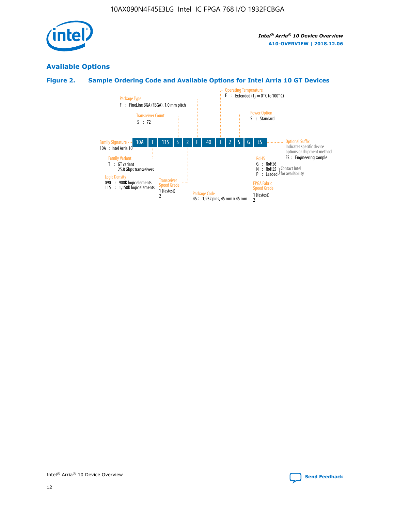

## **Available Options**

### **Figure 2. Sample Ordering Code and Available Options for Intel Arria 10 GT Devices**

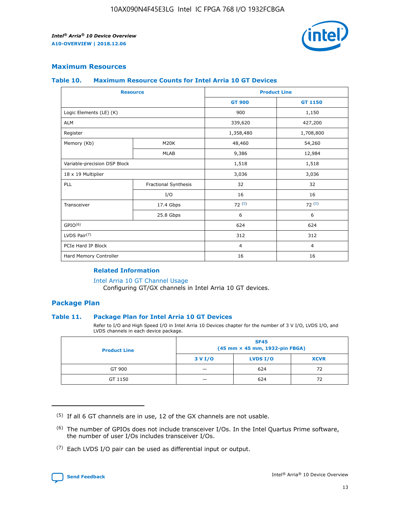

#### **Maximum Resources**

#### **Table 10. Maximum Resource Counts for Intel Arria 10 GT Devices**

| <b>Resource</b>              |                      |                | <b>Product Line</b> |  |
|------------------------------|----------------------|----------------|---------------------|--|
|                              |                      | <b>GT 900</b>  | <b>GT 1150</b>      |  |
| Logic Elements (LE) (K)      |                      | 900            | 1,150               |  |
| <b>ALM</b>                   |                      | 339,620        | 427,200             |  |
| Register                     |                      | 1,358,480      | 1,708,800           |  |
| Memory (Kb)                  | M <sub>20</sub> K    | 48,460         | 54,260              |  |
|                              | <b>MLAB</b>          | 9,386          | 12,984              |  |
| Variable-precision DSP Block |                      | 1,518          | 1,518               |  |
| 18 x 19 Multiplier           |                      | 3,036          | 3,036               |  |
| PLL                          | Fractional Synthesis | 32             | 32                  |  |
|                              | I/O                  | 16             | 16                  |  |
| Transceiver                  | 17.4 Gbps            | 72(5)          | 72(5)               |  |
|                              | 25.8 Gbps            | 6              | 6                   |  |
| GPIO <sup>(6)</sup>          |                      | 624            | 624                 |  |
| LVDS Pair $(7)$              |                      | 312            | 312                 |  |
| PCIe Hard IP Block           |                      | $\overline{4}$ | $\overline{4}$      |  |
| Hard Memory Controller       |                      | 16             | 16                  |  |

#### **Related Information**

#### [Intel Arria 10 GT Channel Usage](https://www.intel.com/content/www/us/en/programmable/documentation/nik1398707230472.html#nik1398707008178)

Configuring GT/GX channels in Intel Arria 10 GT devices.

#### **Package Plan**

#### **Table 11. Package Plan for Intel Arria 10 GT Devices**

Refer to I/O and High Speed I/O in Intel Arria 10 Devices chapter for the number of 3 V I/O, LVDS I/O, and LVDS channels in each device package.

| <b>Product Line</b> | <b>SF45</b><br>(45 mm × 45 mm, 1932-pin FBGA) |                 |             |  |  |  |
|---------------------|-----------------------------------------------|-----------------|-------------|--|--|--|
|                     | 3 V I/O                                       | <b>LVDS I/O</b> | <b>XCVR</b> |  |  |  |
| GT 900              |                                               | 624             | 72          |  |  |  |
| GT 1150             |                                               | 624             | 72          |  |  |  |

<sup>(7)</sup> Each LVDS I/O pair can be used as differential input or output.



 $(5)$  If all 6 GT channels are in use, 12 of the GX channels are not usable.

<sup>(6)</sup> The number of GPIOs does not include transceiver I/Os. In the Intel Quartus Prime software, the number of user I/Os includes transceiver I/Os.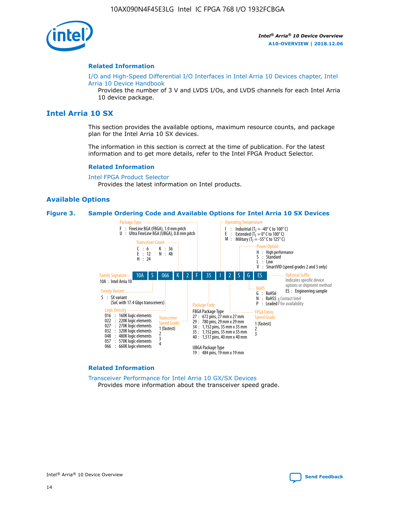

#### **Related Information**

[I/O and High-Speed Differential I/O Interfaces in Intel Arria 10 Devices chapter, Intel](https://www.intel.com/content/www/us/en/programmable/documentation/sam1403482614086.html#sam1403482030321) [Arria 10 Device Handbook](https://www.intel.com/content/www/us/en/programmable/documentation/sam1403482614086.html#sam1403482030321)

Provides the number of 3 V and LVDS I/Os, and LVDS channels for each Intel Arria 10 device package.

## **Intel Arria 10 SX**

This section provides the available options, maximum resource counts, and package plan for the Intel Arria 10 SX devices.

The information in this section is correct at the time of publication. For the latest information and to get more details, refer to the Intel FPGA Product Selector.

#### **Related Information**

[Intel FPGA Product Selector](http://www.altera.com/products/selector/psg-selector.html) Provides the latest information on Intel products.

#### **Available Options**

#### **Figure 3. Sample Ordering Code and Available Options for Intel Arria 10 SX Devices**



#### **Related Information**

[Transceiver Performance for Intel Arria 10 GX/SX Devices](https://www.intel.com/content/www/us/en/programmable/documentation/mcn1413182292568.html#mcn1413213965502) Provides more information about the transceiver speed grade.

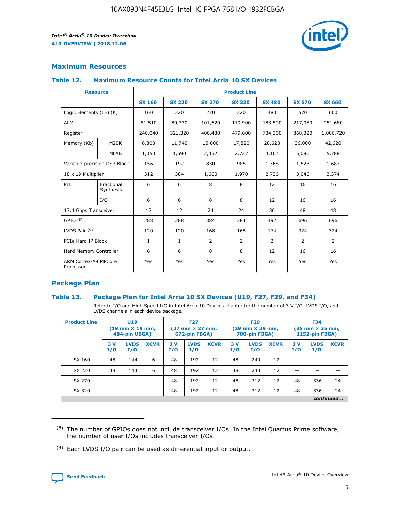

#### **Maximum Resources**

#### **Table 12. Maximum Resource Counts for Intel Arria 10 SX Devices**

| <b>Resource</b>                   |                         | <b>Product Line</b> |               |                |                |                |                |                |  |  |  |
|-----------------------------------|-------------------------|---------------------|---------------|----------------|----------------|----------------|----------------|----------------|--|--|--|
|                                   |                         | <b>SX 160</b>       | <b>SX 220</b> | <b>SX 270</b>  | <b>SX 320</b>  | <b>SX 480</b>  | <b>SX 570</b>  | <b>SX 660</b>  |  |  |  |
| Logic Elements (LE) (K)           |                         | 160                 | 220           | 270            | 320            | 480            | 570            | 660            |  |  |  |
| <b>ALM</b>                        |                         | 61,510              | 80,330        | 101,620        | 119,900        | 183,590        | 217,080        | 251,680        |  |  |  |
| Register                          |                         | 246,040             | 321,320       | 406,480        | 479,600        | 734,360        | 868,320        | 1,006,720      |  |  |  |
| Memory (Kb)                       | M <sub>20</sub> K       | 8,800               | 11,740        | 15,000         | 17,820         | 28,620         | 36,000         | 42,620         |  |  |  |
|                                   | <b>MLAB</b>             | 1,050               | 1,690         | 2,452          | 2,727          | 4,164          | 5,096          | 5,788          |  |  |  |
| Variable-precision DSP Block      |                         | 156                 | 192           | 830            | 985            | 1,368          | 1,523          | 1,687          |  |  |  |
| 18 x 19 Multiplier                |                         | 312                 | 384           | 1,660          | 1,970          | 2,736          | 3,046          | 3,374          |  |  |  |
| PLL                               | Fractional<br>Synthesis | 6                   | 6             | 8              | 8              | 12             | 16             | 16             |  |  |  |
|                                   | I/O                     | 6                   | 6             | 8              | 8              | 12             | 16             | 16             |  |  |  |
| 17.4 Gbps Transceiver             |                         | 12                  | 12            | 24             | 24             | 36             | 48             | 48             |  |  |  |
| GPIO <sup>(8)</sup>               |                         | 288                 | 288           | 384            | 384            | 492            | 696            | 696            |  |  |  |
| LVDS Pair $(9)$                   |                         | 120                 | 120           | 168            | 168            | 174            | 324            | 324            |  |  |  |
|                                   | PCIe Hard IP Block      |                     | $\mathbf{1}$  | $\overline{2}$ | $\overline{2}$ | $\overline{2}$ | $\overline{2}$ | $\overline{2}$ |  |  |  |
| Hard Memory Controller            |                         | 6                   | 6             | 8              | 8              | 12             | 16             | 16             |  |  |  |
| ARM Cortex-A9 MPCore<br>Processor |                         | Yes                 | Yes           | Yes            | Yes            | Yes            | Yes            | <b>Yes</b>     |  |  |  |

#### **Package Plan**

#### **Table 13. Package Plan for Intel Arria 10 SX Devices (U19, F27, F29, and F34)**

Refer to I/O and High Speed I/O in Intel Arria 10 Devices chapter for the number of 3 V I/O, LVDS I/O, and LVDS channels in each device package.

| <b>Product Line</b> | U <sub>19</sub><br>$(19 \text{ mm} \times 19 \text{ mm})$<br>484-pin UBGA) |                    | <b>F27</b><br>$(27 \text{ mm} \times 27 \text{ mm})$<br>672-pin FBGA) |           | <b>F29</b><br>$(29 \text{ mm} \times 29 \text{ mm})$<br>780-pin FBGA) |             |            | <b>F34</b><br>$(35 \text{ mm} \times 35 \text{ mm})$<br><b>1152-pin FBGA)</b> |             |           |                    |             |
|---------------------|----------------------------------------------------------------------------|--------------------|-----------------------------------------------------------------------|-----------|-----------------------------------------------------------------------|-------------|------------|-------------------------------------------------------------------------------|-------------|-----------|--------------------|-------------|
|                     | 3V<br>I/O                                                                  | <b>LVDS</b><br>I/O | <b>XCVR</b>                                                           | 3V<br>I/O | <b>LVDS</b><br>I/O                                                    | <b>XCVR</b> | 3 V<br>I/O | <b>LVDS</b><br>I/O                                                            | <b>XCVR</b> | 3V<br>I/O | <b>LVDS</b><br>I/O | <b>XCVR</b> |
| SX 160              | 48                                                                         | 144                | 6                                                                     | 48        | 192                                                                   | 12          | 48         | 240                                                                           | 12          | –         |                    |             |
| SX 220              | 48                                                                         | 144                | 6                                                                     | 48        | 192                                                                   | 12          | 48         | 240                                                                           | 12          |           |                    |             |
| SX 270              |                                                                            |                    |                                                                       | 48        | 192                                                                   | 12          | 48         | 312                                                                           | 12          | 48        | 336                | 24          |
| SX 320              |                                                                            |                    |                                                                       | 48        | 192                                                                   | 12          | 48         | 312                                                                           | 12          | 48        | 336                | 24          |
|                     | continued                                                                  |                    |                                                                       |           |                                                                       |             |            |                                                                               |             |           |                    |             |

 $(8)$  The number of GPIOs does not include transceiver I/Os. In the Intel Quartus Prime software, the number of user I/Os includes transceiver I/Os.

 $(9)$  Each LVDS I/O pair can be used as differential input or output.

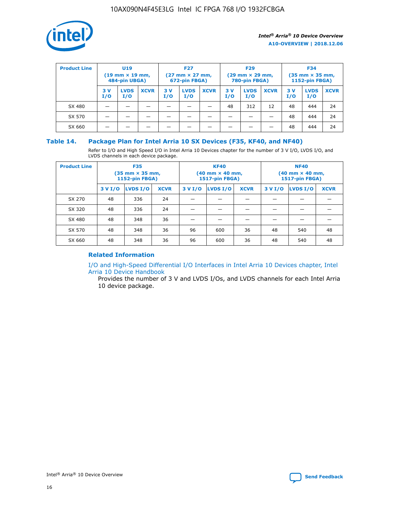

| <b>Product Line</b> |            | <b>U19</b><br>$(19 \text{ mm} \times 19 \text{ mm})$<br>484-pin UBGA) |             | <b>F27</b><br>$(27 \text{ mm} \times 27 \text{ mm})$<br>672-pin FBGA) |                    | <b>F29</b><br>$(29$ mm $\times$ 29 mm,<br>780-pin FBGA) |           |                    | <b>F34</b><br>$(35$ mm $\times$ 35 mm,<br><b>1152-pin FBGA)</b> |           |                    |             |
|---------------------|------------|-----------------------------------------------------------------------|-------------|-----------------------------------------------------------------------|--------------------|---------------------------------------------------------|-----------|--------------------|-----------------------------------------------------------------|-----------|--------------------|-------------|
|                     | 3 V<br>I/O | <b>LVDS</b><br>I/O                                                    | <b>XCVR</b> | 3V<br>I/O                                                             | <b>LVDS</b><br>I/O | <b>XCVR</b>                                             | 3V<br>I/O | <b>LVDS</b><br>I/O | <b>XCVR</b>                                                     | 3V<br>I/O | <b>LVDS</b><br>I/O | <b>XCVR</b> |
| SX 480              |            |                                                                       |             |                                                                       |                    |                                                         | 48        | 312                | 12                                                              | 48        | 444                | 24          |
| SX 570              |            |                                                                       |             |                                                                       |                    |                                                         |           |                    |                                                                 | 48        | 444                | 24          |
| SX 660              |            |                                                                       |             |                                                                       |                    |                                                         |           |                    |                                                                 | 48        | 444                | 24          |

#### **Table 14. Package Plan for Intel Arria 10 SX Devices (F35, KF40, and NF40)**

Refer to I/O and High Speed I/O in Intel Arria 10 Devices chapter for the number of 3 V I/O, LVDS I/O, and LVDS channels in each device package.

| <b>Product Line</b> | <b>F35</b><br>(35 mm × 35 mm,<br><b>1152-pin FBGA)</b> |          |             |                                           | <b>KF40</b><br>(40 mm × 40 mm,<br>1517-pin FBGA) |    | <b>NF40</b><br>$(40 \text{ mm} \times 40 \text{ mm})$<br>1517-pin FBGA) |          |             |  |
|---------------------|--------------------------------------------------------|----------|-------------|-------------------------------------------|--------------------------------------------------|----|-------------------------------------------------------------------------|----------|-------------|--|
|                     | 3 V I/O                                                | LVDS I/O | <b>XCVR</b> | <b>LVDS I/O</b><br>3 V I/O<br><b>XCVR</b> |                                                  |    | 3 V I/O                                                                 | LVDS I/O | <b>XCVR</b> |  |
| SX 270              | 48                                                     | 336      | 24          |                                           |                                                  |    |                                                                         |          |             |  |
| SX 320              | 48                                                     | 336      | 24          |                                           |                                                  |    |                                                                         |          |             |  |
| SX 480              | 48                                                     | 348      | 36          |                                           |                                                  |    |                                                                         |          |             |  |
| SX 570              | 48                                                     | 348      | 36          | 96<br>36<br>600                           |                                                  |    | 48                                                                      | 540      | 48          |  |
| SX 660              | 48                                                     | 348      | 36          | 96                                        | 600                                              | 36 | 48                                                                      | 540      | 48          |  |

### **Related Information**

[I/O and High-Speed Differential I/O Interfaces in Intel Arria 10 Devices chapter, Intel](https://www.intel.com/content/www/us/en/programmable/documentation/sam1403482614086.html#sam1403482030321) [Arria 10 Device Handbook](https://www.intel.com/content/www/us/en/programmable/documentation/sam1403482614086.html#sam1403482030321)

Provides the number of 3 V and LVDS I/Os, and LVDS channels for each Intel Arria 10 device package.

Intel<sup>®</sup> Arria<sup>®</sup> 10 Device Overview **[Send Feedback](mailto:FPGAtechdocfeedback@intel.com?subject=Feedback%20on%20Intel%20Arria%2010%20Device%20Overview%20(A10-OVERVIEW%202018.12.06)&body=We%20appreciate%20your%20feedback.%20In%20your%20comments,%20also%20specify%20the%20page%20number%20or%20paragraph.%20Thank%20you.)** Send Feedback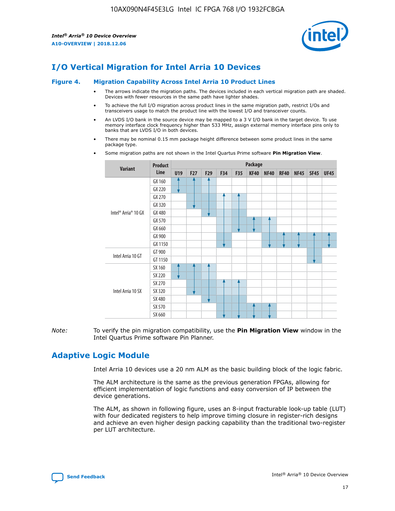

## **I/O Vertical Migration for Intel Arria 10 Devices**

#### **Figure 4. Migration Capability Across Intel Arria 10 Product Lines**

- The arrows indicate the migration paths. The devices included in each vertical migration path are shaded. Devices with fewer resources in the same path have lighter shades.
- To achieve the full I/O migration across product lines in the same migration path, restrict I/Os and transceivers usage to match the product line with the lowest I/O and transceiver counts.
- An LVDS I/O bank in the source device may be mapped to a 3 V I/O bank in the target device. To use memory interface clock frequency higher than 533 MHz, assign external memory interface pins only to banks that are LVDS I/O in both devices.
- There may be nominal 0.15 mm package height difference between some product lines in the same package type.
	- **Variant Product Line Package U19 F27 F29 F34 F35 KF40 NF40 RF40 NF45 SF45 UF45** Intel® Arria® 10 GX GX 160 GX 220 GX 270 GX 320 GX 480 GX 570 GX 660 GX 900 GX 1150 Intel Arria 10 GT GT 900 GT 1150 Intel Arria 10 SX SX 160 SX 220 SX 270 SX 320 SX 480 SX 570 SX 660
- Some migration paths are not shown in the Intel Quartus Prime software **Pin Migration View**.

*Note:* To verify the pin migration compatibility, use the **Pin Migration View** window in the Intel Quartus Prime software Pin Planner.

## **Adaptive Logic Module**

Intel Arria 10 devices use a 20 nm ALM as the basic building block of the logic fabric.

The ALM architecture is the same as the previous generation FPGAs, allowing for efficient implementation of logic functions and easy conversion of IP between the device generations.

The ALM, as shown in following figure, uses an 8-input fracturable look-up table (LUT) with four dedicated registers to help improve timing closure in register-rich designs and achieve an even higher design packing capability than the traditional two-register per LUT architecture.

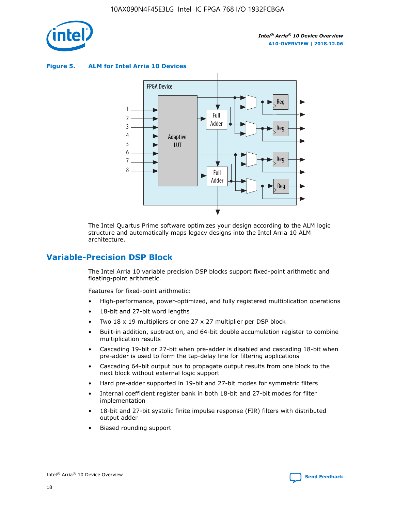

**Figure 5. ALM for Intel Arria 10 Devices**



The Intel Quartus Prime software optimizes your design according to the ALM logic structure and automatically maps legacy designs into the Intel Arria 10 ALM architecture.

## **Variable-Precision DSP Block**

The Intel Arria 10 variable precision DSP blocks support fixed-point arithmetic and floating-point arithmetic.

Features for fixed-point arithmetic:

- High-performance, power-optimized, and fully registered multiplication operations
- 18-bit and 27-bit word lengths
- Two 18 x 19 multipliers or one 27 x 27 multiplier per DSP block
- Built-in addition, subtraction, and 64-bit double accumulation register to combine multiplication results
- Cascading 19-bit or 27-bit when pre-adder is disabled and cascading 18-bit when pre-adder is used to form the tap-delay line for filtering applications
- Cascading 64-bit output bus to propagate output results from one block to the next block without external logic support
- Hard pre-adder supported in 19-bit and 27-bit modes for symmetric filters
- Internal coefficient register bank in both 18-bit and 27-bit modes for filter implementation
- 18-bit and 27-bit systolic finite impulse response (FIR) filters with distributed output adder
- Biased rounding support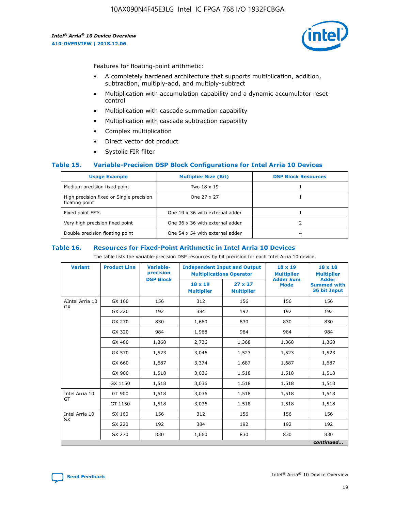

Features for floating-point arithmetic:

- A completely hardened architecture that supports multiplication, addition, subtraction, multiply-add, and multiply-subtract
- Multiplication with accumulation capability and a dynamic accumulator reset control
- Multiplication with cascade summation capability
- Multiplication with cascade subtraction capability
- Complex multiplication
- Direct vector dot product
- Systolic FIR filter

#### **Table 15. Variable-Precision DSP Block Configurations for Intel Arria 10 Devices**

| <b>Usage Example</b>                                       | <b>Multiplier Size (Bit)</b>    | <b>DSP Block Resources</b> |
|------------------------------------------------------------|---------------------------------|----------------------------|
| Medium precision fixed point                               | Two 18 x 19                     |                            |
| High precision fixed or Single precision<br>floating point | One 27 x 27                     |                            |
| Fixed point FFTs                                           | One 19 x 36 with external adder |                            |
| Very high precision fixed point                            | One 36 x 36 with external adder |                            |
| Double precision floating point                            | One 54 x 54 with external adder | 4                          |

#### **Table 16. Resources for Fixed-Point Arithmetic in Intel Arria 10 Devices**

The table lists the variable-precision DSP resources by bit precision for each Intel Arria 10 device.

| <b>Variant</b>  | <b>Product Line</b> | <b>Variable-</b><br>precision<br><b>DSP Block</b> | <b>Independent Input and Output</b><br><b>Multiplications Operator</b> |                                     | 18 x 19<br><b>Multiplier</b><br><b>Adder Sum</b> | $18 \times 18$<br><b>Multiplier</b><br><b>Adder</b> |
|-----------------|---------------------|---------------------------------------------------|------------------------------------------------------------------------|-------------------------------------|--------------------------------------------------|-----------------------------------------------------|
|                 |                     |                                                   | 18 x 19<br><b>Multiplier</b>                                           | $27 \times 27$<br><b>Multiplier</b> | <b>Mode</b>                                      | <b>Summed with</b><br>36 bit Input                  |
| AIntel Arria 10 | GX 160              | 156                                               | 312                                                                    | 156                                 | 156                                              | 156                                                 |
| GX              | GX 220              | 192                                               | 384                                                                    | 192                                 | 192                                              | 192                                                 |
|                 | GX 270              | 830                                               | 1,660                                                                  | 830                                 | 830                                              | 830                                                 |
|                 | GX 320              | 984                                               | 1,968                                                                  | 984                                 | 984                                              | 984                                                 |
|                 | GX 480              | 1,368                                             | 2,736                                                                  | 1,368                               | 1,368                                            | 1,368                                               |
|                 | GX 570              | 1,523                                             | 3,046                                                                  | 1,523                               | 1,523                                            | 1,523                                               |
|                 | GX 660              | 1,687                                             | 3,374                                                                  | 1,687                               | 1,687                                            | 1,687                                               |
|                 | GX 900              | 1,518                                             | 3,036                                                                  | 1,518                               | 1,518                                            | 1,518                                               |
|                 | GX 1150             | 1,518                                             | 3,036                                                                  | 1,518                               | 1,518                                            | 1,518                                               |
| Intel Arria 10  | GT 900              | 1,518                                             | 3,036                                                                  | 1,518                               | 1,518                                            | 1,518                                               |
| GT              | GT 1150             | 1,518                                             | 3,036                                                                  | 1,518                               | 1,518                                            | 1,518                                               |
| Intel Arria 10  | SX 160              | 156                                               | 312                                                                    | 156                                 | 156                                              | 156                                                 |
| <b>SX</b>       | SX 220<br>192       |                                                   | 384                                                                    | 192                                 | 192                                              | 192                                                 |
|                 | SX 270              | 830                                               | 830<br>1,660                                                           |                                     | 830                                              | 830                                                 |
|                 |                     |                                                   |                                                                        |                                     |                                                  | continued                                           |

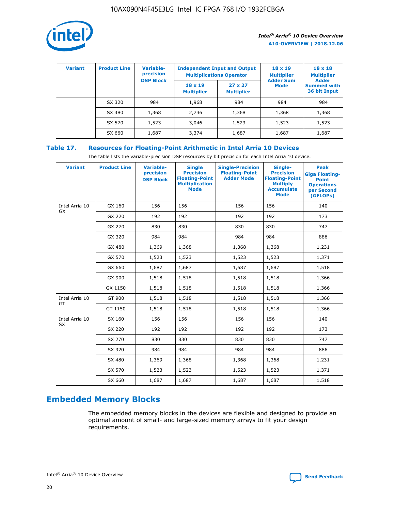

| <b>Variant</b> | <b>Product Line</b> | Variable-<br>precision | <b>Independent Input and Output</b><br><b>Multiplications Operator</b> |                                     | $18 \times 19$<br><b>Multiplier</b> | $18 \times 18$<br><b>Multiplier</b><br><b>Adder</b> |  |
|----------------|---------------------|------------------------|------------------------------------------------------------------------|-------------------------------------|-------------------------------------|-----------------------------------------------------|--|
|                |                     | <b>DSP Block</b>       | $18 \times 19$<br><b>Multiplier</b>                                    | $27 \times 27$<br><b>Multiplier</b> | <b>Adder Sum</b><br><b>Mode</b>     | <b>Summed with</b><br>36 bit Input                  |  |
|                | SX 320              | 984                    | 1,968                                                                  | 984                                 | 984                                 | 984                                                 |  |
|                | SX 480              | 1,368                  | 2,736                                                                  | 1,368                               | 1,368                               | 1,368                                               |  |
|                | SX 570              | 1,523                  | 3,046                                                                  | 1,523                               | 1,523                               | 1,523                                               |  |
|                | SX 660              | 1,687                  | 3,374                                                                  | 1,687                               | 1,687                               | 1,687                                               |  |

## **Table 17. Resources for Floating-Point Arithmetic in Intel Arria 10 Devices**

The table lists the variable-precision DSP resources by bit precision for each Intel Arria 10 device.

| <b>Variant</b> | <b>Product Line</b> | <b>Variable-</b><br>precision<br><b>DSP Block</b> | <b>Single</b><br><b>Precision</b><br><b>Floating-Point</b><br><b>Multiplication</b><br><b>Mode</b> | <b>Single-Precision</b><br><b>Floating-Point</b><br><b>Adder Mode</b> | Single-<br><b>Precision</b><br><b>Floating-Point</b><br><b>Multiply</b><br><b>Accumulate</b><br><b>Mode</b> | <b>Peak</b><br><b>Giga Floating-</b><br><b>Point</b><br><b>Operations</b><br>per Second<br>(GFLOPs) |
|----------------|---------------------|---------------------------------------------------|----------------------------------------------------------------------------------------------------|-----------------------------------------------------------------------|-------------------------------------------------------------------------------------------------------------|-----------------------------------------------------------------------------------------------------|
| Intel Arria 10 | GX 160              | 156                                               | 156                                                                                                | 156                                                                   | 156                                                                                                         | 140                                                                                                 |
| GX             | GX 220              | 192                                               | 192                                                                                                | 192                                                                   | 192                                                                                                         | 173                                                                                                 |
|                | GX 270              | 830                                               | 830                                                                                                | 830                                                                   | 830                                                                                                         | 747                                                                                                 |
|                | GX 320              | 984                                               | 984                                                                                                | 984                                                                   | 984                                                                                                         | 886                                                                                                 |
|                | GX 480              | 1,369                                             | 1,368                                                                                              | 1,368                                                                 | 1,368                                                                                                       | 1,231                                                                                               |
|                | GX 570              | 1,523                                             | 1,523                                                                                              | 1,523                                                                 | 1,523                                                                                                       | 1,371                                                                                               |
|                | GX 660              | 1,687                                             | 1,687                                                                                              | 1,687                                                                 | 1,687                                                                                                       | 1,518                                                                                               |
|                | GX 900              | 1,518                                             | 1,518                                                                                              | 1,518                                                                 | 1,518                                                                                                       | 1,366                                                                                               |
|                | GX 1150             | 1,518                                             | 1,518                                                                                              | 1,518                                                                 | 1,518                                                                                                       | 1,366                                                                                               |
| Intel Arria 10 | GT 900              | 1,518                                             | 1,518                                                                                              | 1,518                                                                 | 1,518                                                                                                       | 1,366                                                                                               |
| GT             | GT 1150             | 1,518                                             | 1,518                                                                                              | 1,518                                                                 | 1,518                                                                                                       | 1,366                                                                                               |
| Intel Arria 10 | SX 160              | 156                                               | 156                                                                                                | 156                                                                   | 156                                                                                                         | 140                                                                                                 |
| SX             | SX 220              | 192                                               | 192                                                                                                | 192                                                                   | 192                                                                                                         | 173                                                                                                 |
|                | SX 270              | 830                                               | 830                                                                                                | 830                                                                   | 830                                                                                                         | 747                                                                                                 |
|                | SX 320              | 984                                               | 984                                                                                                | 984                                                                   | 984                                                                                                         | 886                                                                                                 |
|                | SX 480              | 1,369                                             | 1,368                                                                                              | 1,368                                                                 | 1,368                                                                                                       | 1,231                                                                                               |
|                | SX 570              | 1,523                                             | 1,523                                                                                              | 1,523                                                                 | 1,523                                                                                                       | 1,371                                                                                               |
|                | SX 660              | 1,687                                             | 1,687                                                                                              | 1,687                                                                 | 1,687                                                                                                       | 1,518                                                                                               |

## **Embedded Memory Blocks**

The embedded memory blocks in the devices are flexible and designed to provide an optimal amount of small- and large-sized memory arrays to fit your design requirements.

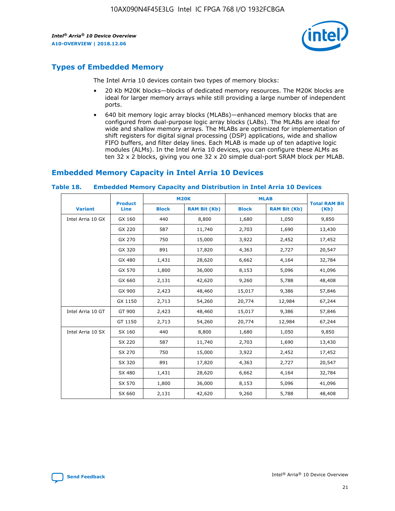

## **Types of Embedded Memory**

The Intel Arria 10 devices contain two types of memory blocks:

- 20 Kb M20K blocks—blocks of dedicated memory resources. The M20K blocks are ideal for larger memory arrays while still providing a large number of independent ports.
- 640 bit memory logic array blocks (MLABs)—enhanced memory blocks that are configured from dual-purpose logic array blocks (LABs). The MLABs are ideal for wide and shallow memory arrays. The MLABs are optimized for implementation of shift registers for digital signal processing (DSP) applications, wide and shallow FIFO buffers, and filter delay lines. Each MLAB is made up of ten adaptive logic modules (ALMs). In the Intel Arria 10 devices, you can configure these ALMs as ten 32 x 2 blocks, giving you one 32 x 20 simple dual-port SRAM block per MLAB.

## **Embedded Memory Capacity in Intel Arria 10 Devices**

|                   | <b>Product</b> |              | <b>M20K</b>         | <b>MLAB</b>  |                     | <b>Total RAM Bit</b> |
|-------------------|----------------|--------------|---------------------|--------------|---------------------|----------------------|
| <b>Variant</b>    | <b>Line</b>    | <b>Block</b> | <b>RAM Bit (Kb)</b> | <b>Block</b> | <b>RAM Bit (Kb)</b> | (Kb)                 |
| Intel Arria 10 GX | GX 160         | 440          | 8,800               | 1,680        | 1,050               | 9,850                |
|                   | GX 220         | 587          | 11,740              | 2,703        | 1,690               | 13,430               |
|                   | GX 270         | 750          | 15,000              | 3,922        | 2,452               | 17,452               |
|                   | GX 320         | 891          | 17,820              | 4,363        | 2,727               | 20,547               |
|                   | GX 480         | 1,431        | 28,620              | 6,662        | 4,164               | 32,784               |
|                   | GX 570         | 1,800        | 36,000              | 8,153        | 5,096               | 41,096               |
|                   | GX 660         | 2,131        | 42,620              | 9,260        | 5,788               | 48,408               |
|                   | GX 900         | 2,423        | 48,460              | 15,017       | 9,386               | 57,846               |
|                   | GX 1150        | 2,713        | 54,260              | 20,774       | 12,984              | 67,244               |
| Intel Arria 10 GT | GT 900         | 2,423        | 48,460              | 15,017       | 9,386               | 57,846               |
|                   | GT 1150        | 2,713        | 54,260              | 20,774       | 12,984              | 67,244               |
| Intel Arria 10 SX | SX 160         | 440          | 8,800               | 1,680        | 1,050               | 9,850                |
|                   | SX 220         | 587          | 11,740              | 2,703        | 1,690               | 13,430               |
|                   | SX 270         | 750          | 15,000              | 3,922        | 2,452               | 17,452               |
|                   | SX 320         | 891          | 17,820              | 4,363        | 2,727               | 20,547               |
|                   | SX 480         | 1,431        | 28,620              | 6,662        | 4,164               | 32,784               |
|                   | SX 570         | 1,800        | 36,000              | 8,153        | 5,096               | 41,096               |
|                   | SX 660         | 2,131        | 42,620              | 9,260        | 5,788               | 48,408               |

#### **Table 18. Embedded Memory Capacity and Distribution in Intel Arria 10 Devices**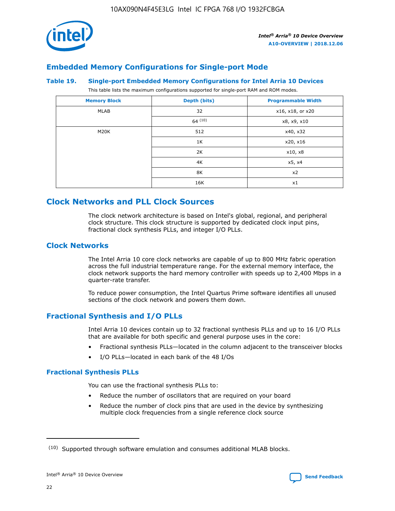

## **Embedded Memory Configurations for Single-port Mode**

#### **Table 19. Single-port Embedded Memory Configurations for Intel Arria 10 Devices**

This table lists the maximum configurations supported for single-port RAM and ROM modes.

| <b>Memory Block</b> | Depth (bits) | <b>Programmable Width</b> |
|---------------------|--------------|---------------------------|
| MLAB                | 32           | x16, x18, or x20          |
|                     | 64(10)       | x8, x9, x10               |
| M20K                | 512          | x40, x32                  |
|                     | 1K           | x20, x16                  |
|                     | 2K           | x10, x8                   |
|                     | 4K           | x5, x4                    |
|                     | 8K           | x2                        |
|                     | 16K          | x1                        |

## **Clock Networks and PLL Clock Sources**

The clock network architecture is based on Intel's global, regional, and peripheral clock structure. This clock structure is supported by dedicated clock input pins, fractional clock synthesis PLLs, and integer I/O PLLs.

#### **Clock Networks**

The Intel Arria 10 core clock networks are capable of up to 800 MHz fabric operation across the full industrial temperature range. For the external memory interface, the clock network supports the hard memory controller with speeds up to 2,400 Mbps in a quarter-rate transfer.

To reduce power consumption, the Intel Quartus Prime software identifies all unused sections of the clock network and powers them down.

## **Fractional Synthesis and I/O PLLs**

Intel Arria 10 devices contain up to 32 fractional synthesis PLLs and up to 16 I/O PLLs that are available for both specific and general purpose uses in the core:

- Fractional synthesis PLLs—located in the column adjacent to the transceiver blocks
- I/O PLLs—located in each bank of the 48 I/Os

#### **Fractional Synthesis PLLs**

You can use the fractional synthesis PLLs to:

- Reduce the number of oscillators that are required on your board
- Reduce the number of clock pins that are used in the device by synthesizing multiple clock frequencies from a single reference clock source

<sup>(10)</sup> Supported through software emulation and consumes additional MLAB blocks.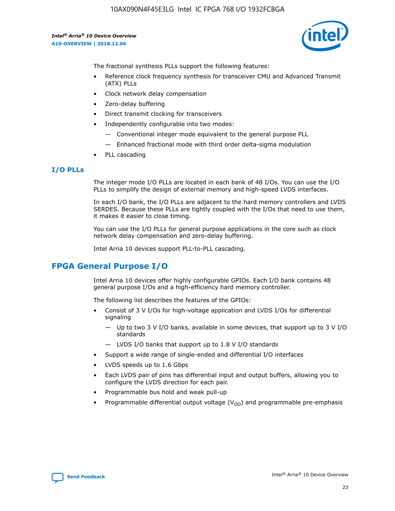10AX090N4F45E3LG Intel IC FPGA 768 I/O 1932FCBGA

*Intel® Arria® 10 Device Overview* **A10-OVERVIEW | 2018.12.06**



The fractional synthesis PLLs support the following features:

- Reference clock frequency synthesis for transceiver CMU and Advanced Transmit (ATX) PLLs
- Clock network delay compensation
- Zero-delay buffering
- Direct transmit clocking for transceivers
- Independently configurable into two modes:
	- Conventional integer mode equivalent to the general purpose PLL
	- Enhanced fractional mode with third order delta-sigma modulation
- PLL cascading

#### **I/O PLLs**

The integer mode I/O PLLs are located in each bank of 48 I/Os. You can use the I/O PLLs to simplify the design of external memory and high-speed LVDS interfaces.

In each I/O bank, the I/O PLLs are adjacent to the hard memory controllers and LVDS SERDES. Because these PLLs are tightly coupled with the I/Os that need to use them, it makes it easier to close timing.

You can use the I/O PLLs for general purpose applications in the core such as clock network delay compensation and zero-delay buffering.

Intel Arria 10 devices support PLL-to-PLL cascading.

## **FPGA General Purpose I/O**

Intel Arria 10 devices offer highly configurable GPIOs. Each I/O bank contains 48 general purpose I/Os and a high-efficiency hard memory controller.

The following list describes the features of the GPIOs:

- Consist of 3 V I/Os for high-voltage application and LVDS I/Os for differential signaling
	- Up to two 3 V I/O banks, available in some devices, that support up to 3 V I/O standards
	- LVDS I/O banks that support up to 1.8 V I/O standards
- Support a wide range of single-ended and differential I/O interfaces
- LVDS speeds up to 1.6 Gbps
- Each LVDS pair of pins has differential input and output buffers, allowing you to configure the LVDS direction for each pair.
- Programmable bus hold and weak pull-up
- Programmable differential output voltage  $(V_{OD})$  and programmable pre-emphasis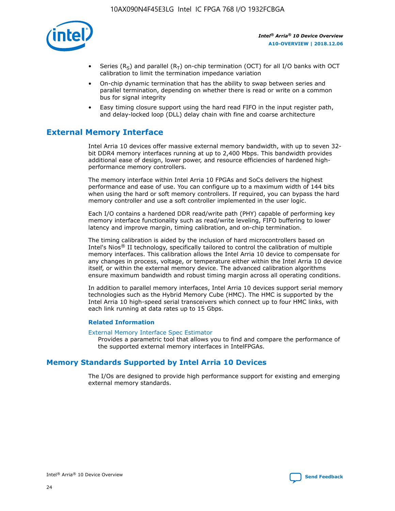

- Series (R<sub>S</sub>) and parallel (R<sub>T</sub>) on-chip termination (OCT) for all I/O banks with OCT calibration to limit the termination impedance variation
- On-chip dynamic termination that has the ability to swap between series and parallel termination, depending on whether there is read or write on a common bus for signal integrity
- Easy timing closure support using the hard read FIFO in the input register path, and delay-locked loop (DLL) delay chain with fine and coarse architecture

## **External Memory Interface**

Intel Arria 10 devices offer massive external memory bandwidth, with up to seven 32 bit DDR4 memory interfaces running at up to 2,400 Mbps. This bandwidth provides additional ease of design, lower power, and resource efficiencies of hardened highperformance memory controllers.

The memory interface within Intel Arria 10 FPGAs and SoCs delivers the highest performance and ease of use. You can configure up to a maximum width of 144 bits when using the hard or soft memory controllers. If required, you can bypass the hard memory controller and use a soft controller implemented in the user logic.

Each I/O contains a hardened DDR read/write path (PHY) capable of performing key memory interface functionality such as read/write leveling, FIFO buffering to lower latency and improve margin, timing calibration, and on-chip termination.

The timing calibration is aided by the inclusion of hard microcontrollers based on Intel's Nios® II technology, specifically tailored to control the calibration of multiple memory interfaces. This calibration allows the Intel Arria 10 device to compensate for any changes in process, voltage, or temperature either within the Intel Arria 10 device itself, or within the external memory device. The advanced calibration algorithms ensure maximum bandwidth and robust timing margin across all operating conditions.

In addition to parallel memory interfaces, Intel Arria 10 devices support serial memory technologies such as the Hybrid Memory Cube (HMC). The HMC is supported by the Intel Arria 10 high-speed serial transceivers which connect up to four HMC links, with each link running at data rates up to 15 Gbps.

#### **Related Information**

#### [External Memory Interface Spec Estimator](http://www.altera.com/technology/memory/estimator/mem-emif-index.html)

Provides a parametric tool that allows you to find and compare the performance of the supported external memory interfaces in IntelFPGAs.

## **Memory Standards Supported by Intel Arria 10 Devices**

The I/Os are designed to provide high performance support for existing and emerging external memory standards.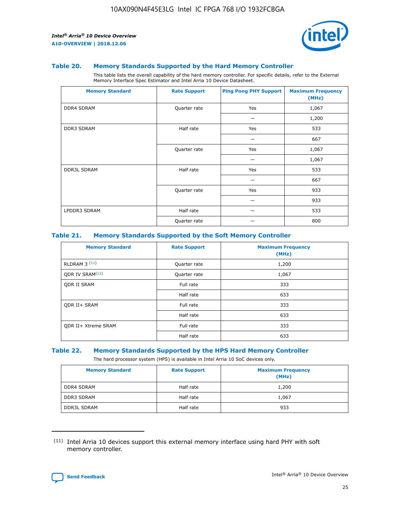

#### **Table 20. Memory Standards Supported by the Hard Memory Controller**

This table lists the overall capability of the hard memory controller. For specific details, refer to the External Memory Interface Spec Estimator and Intel Arria 10 Device Datasheet.

| <b>Memory Standard</b> | <b>Rate Support</b> | <b>Ping Pong PHY Support</b> | <b>Maximum Frequency</b><br>(MHz) |
|------------------------|---------------------|------------------------------|-----------------------------------|
| <b>DDR4 SDRAM</b>      | Quarter rate        | Yes                          | 1,067                             |
|                        |                     |                              | 1,200                             |
| DDR3 SDRAM             | Half rate           | Yes                          | 533                               |
|                        |                     |                              | 667                               |
|                        | Quarter rate        | Yes                          | 1,067                             |
|                        |                     |                              | 1,067                             |
| <b>DDR3L SDRAM</b>     | Half rate           | Yes                          | 533                               |
|                        |                     |                              | 667                               |
|                        | Quarter rate        | Yes                          | 933                               |
|                        |                     |                              | 933                               |
| LPDDR3 SDRAM           | Half rate           |                              | 533                               |
|                        | Quarter rate        |                              | 800                               |

#### **Table 21. Memory Standards Supported by the Soft Memory Controller**

| <b>Memory Standard</b>      | <b>Rate Support</b> | <b>Maximum Frequency</b><br>(MHz) |
|-----------------------------|---------------------|-----------------------------------|
| <b>RLDRAM 3 (11)</b>        | Quarter rate        | 1,200                             |
| ODR IV SRAM <sup>(11)</sup> | Quarter rate        | 1,067                             |
| <b>ODR II SRAM</b>          | Full rate           | 333                               |
|                             | Half rate           | 633                               |
| <b>ODR II+ SRAM</b>         | Full rate           | 333                               |
|                             | Half rate           | 633                               |
| <b>ODR II+ Xtreme SRAM</b>  | Full rate           | 333                               |
|                             | Half rate           | 633                               |

#### **Table 22. Memory Standards Supported by the HPS Hard Memory Controller**

The hard processor system (HPS) is available in Intel Arria 10 SoC devices only.

| <b>Memory Standard</b> | <b>Rate Support</b> | <b>Maximum Frequency</b><br>(MHz) |
|------------------------|---------------------|-----------------------------------|
| <b>DDR4 SDRAM</b>      | Half rate           | 1,200                             |
| <b>DDR3 SDRAM</b>      | Half rate           | 1,067                             |
| <b>DDR3L SDRAM</b>     | Half rate           | 933                               |

<sup>(11)</sup> Intel Arria 10 devices support this external memory interface using hard PHY with soft memory controller.

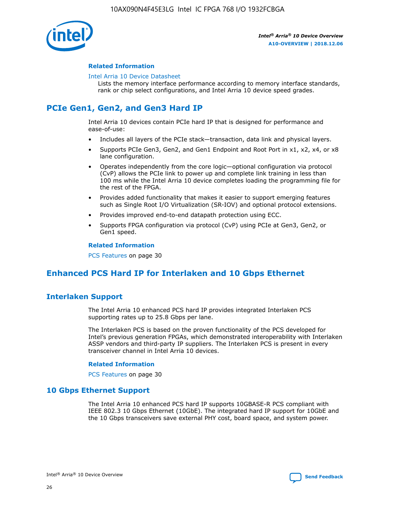

#### **Related Information**

#### [Intel Arria 10 Device Datasheet](https://www.intel.com/content/www/us/en/programmable/documentation/mcn1413182292568.html#mcn1413182153340)

Lists the memory interface performance according to memory interface standards, rank or chip select configurations, and Intel Arria 10 device speed grades.

## **PCIe Gen1, Gen2, and Gen3 Hard IP**

Intel Arria 10 devices contain PCIe hard IP that is designed for performance and ease-of-use:

- Includes all layers of the PCIe stack—transaction, data link and physical layers.
- Supports PCIe Gen3, Gen2, and Gen1 Endpoint and Root Port in x1, x2, x4, or x8 lane configuration.
- Operates independently from the core logic—optional configuration via protocol (CvP) allows the PCIe link to power up and complete link training in less than 100 ms while the Intel Arria 10 device completes loading the programming file for the rest of the FPGA.
- Provides added functionality that makes it easier to support emerging features such as Single Root I/O Virtualization (SR-IOV) and optional protocol extensions.
- Provides improved end-to-end datapath protection using ECC.
- Supports FPGA configuration via protocol (CvP) using PCIe at Gen3, Gen2, or Gen1 speed.

#### **Related Information**

PCS Features on page 30

## **Enhanced PCS Hard IP for Interlaken and 10 Gbps Ethernet**

## **Interlaken Support**

The Intel Arria 10 enhanced PCS hard IP provides integrated Interlaken PCS supporting rates up to 25.8 Gbps per lane.

The Interlaken PCS is based on the proven functionality of the PCS developed for Intel's previous generation FPGAs, which demonstrated interoperability with Interlaken ASSP vendors and third-party IP suppliers. The Interlaken PCS is present in every transceiver channel in Intel Arria 10 devices.

#### **Related Information**

PCS Features on page 30

#### **10 Gbps Ethernet Support**

The Intel Arria 10 enhanced PCS hard IP supports 10GBASE-R PCS compliant with IEEE 802.3 10 Gbps Ethernet (10GbE). The integrated hard IP support for 10GbE and the 10 Gbps transceivers save external PHY cost, board space, and system power.

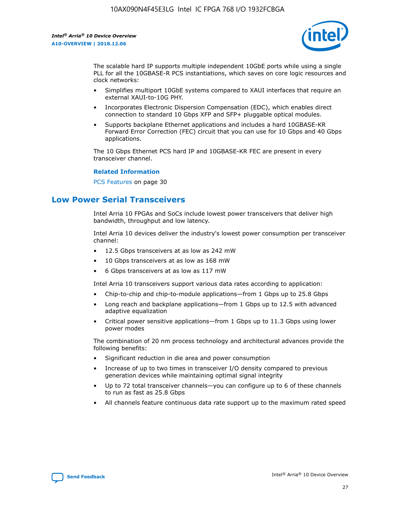

The scalable hard IP supports multiple independent 10GbE ports while using a single PLL for all the 10GBASE-R PCS instantiations, which saves on core logic resources and clock networks:

- Simplifies multiport 10GbE systems compared to XAUI interfaces that require an external XAUI-to-10G PHY.
- Incorporates Electronic Dispersion Compensation (EDC), which enables direct connection to standard 10 Gbps XFP and SFP+ pluggable optical modules.
- Supports backplane Ethernet applications and includes a hard 10GBASE-KR Forward Error Correction (FEC) circuit that you can use for 10 Gbps and 40 Gbps applications.

The 10 Gbps Ethernet PCS hard IP and 10GBASE-KR FEC are present in every transceiver channel.

#### **Related Information**

PCS Features on page 30

## **Low Power Serial Transceivers**

Intel Arria 10 FPGAs and SoCs include lowest power transceivers that deliver high bandwidth, throughput and low latency.

Intel Arria 10 devices deliver the industry's lowest power consumption per transceiver channel:

- 12.5 Gbps transceivers at as low as 242 mW
- 10 Gbps transceivers at as low as 168 mW
- 6 Gbps transceivers at as low as 117 mW

Intel Arria 10 transceivers support various data rates according to application:

- Chip-to-chip and chip-to-module applications—from 1 Gbps up to 25.8 Gbps
- Long reach and backplane applications—from 1 Gbps up to 12.5 with advanced adaptive equalization
- Critical power sensitive applications—from 1 Gbps up to 11.3 Gbps using lower power modes

The combination of 20 nm process technology and architectural advances provide the following benefits:

- Significant reduction in die area and power consumption
- Increase of up to two times in transceiver I/O density compared to previous generation devices while maintaining optimal signal integrity
- Up to 72 total transceiver channels—you can configure up to 6 of these channels to run as fast as 25.8 Gbps
- All channels feature continuous data rate support up to the maximum rated speed

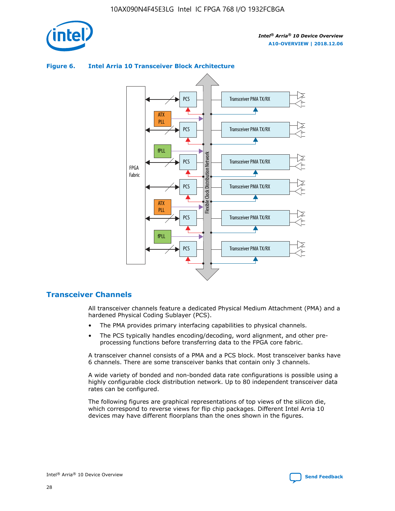

## Transceiver PMA TX/RX PCS ATX PLL Transceiver PMA TX/RX PCS fPLL Network Flexible Clock Distribution Network PCS Transceiver PMA TX/RX FPGA **Clock Distribution** Fabric PCS Transceiver PMA TX/RX ATX Flexible PLL PCS Transceiver PMA TX/RX ▲ fPLL Transceiver PMA TX/RX PCS 4

#### **Figure 6. Intel Arria 10 Transceiver Block Architecture**

#### **Transceiver Channels**

All transceiver channels feature a dedicated Physical Medium Attachment (PMA) and a hardened Physical Coding Sublayer (PCS).

- The PMA provides primary interfacing capabilities to physical channels.
- The PCS typically handles encoding/decoding, word alignment, and other preprocessing functions before transferring data to the FPGA core fabric.

A transceiver channel consists of a PMA and a PCS block. Most transceiver banks have 6 channels. There are some transceiver banks that contain only 3 channels.

A wide variety of bonded and non-bonded data rate configurations is possible using a highly configurable clock distribution network. Up to 80 independent transceiver data rates can be configured.

The following figures are graphical representations of top views of the silicon die, which correspond to reverse views for flip chip packages. Different Intel Arria 10 devices may have different floorplans than the ones shown in the figures.

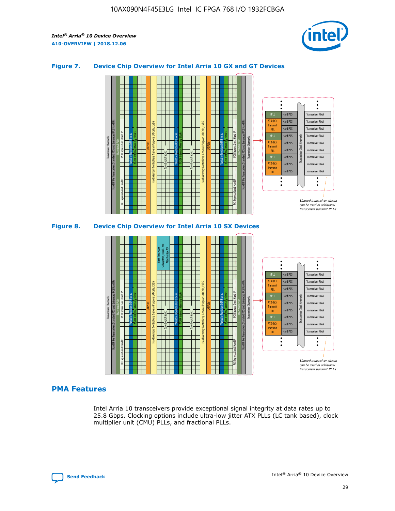

#### **Figure 7. Device Chip Overview for Intel Arria 10 GX and GT Devices**



#### **PMA Features**

Intel Arria 10 transceivers provide exceptional signal integrity at data rates up to 25.8 Gbps. Clocking options include ultra-low jitter ATX PLLs (LC tank based), clock multiplier unit (CMU) PLLs, and fractional PLLs.

Hard PCS Hard PCS Hard PCS Hard PCS Hard PCS Hard PCS Hard PCS

PLL fPLL ATX (LC) Transmi PLL fPLL ATX (LC) **Transmit** PLL

Transceiver PMA Transceiver PMA Transceiver PMA Transceiver PMA Transceiver PMA

Transceiver PMA Transceiver PMA

Transceiver Clock Networks

Unused transceiver chann can be used as additional transceiver transmit PLLs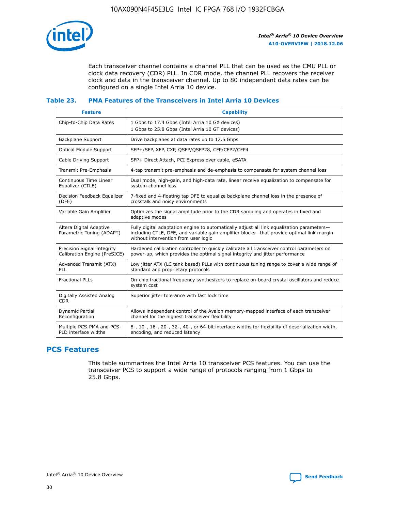

Each transceiver channel contains a channel PLL that can be used as the CMU PLL or clock data recovery (CDR) PLL. In CDR mode, the channel PLL recovers the receiver clock and data in the transceiver channel. Up to 80 independent data rates can be configured on a single Intel Arria 10 device.

#### **Table 23. PMA Features of the Transceivers in Intel Arria 10 Devices**

| <b>Feature</b>                                             | <b>Capability</b>                                                                                                                                                                                                             |
|------------------------------------------------------------|-------------------------------------------------------------------------------------------------------------------------------------------------------------------------------------------------------------------------------|
| Chip-to-Chip Data Rates                                    | 1 Gbps to 17.4 Gbps (Intel Arria 10 GX devices)<br>1 Gbps to 25.8 Gbps (Intel Arria 10 GT devices)                                                                                                                            |
| <b>Backplane Support</b>                                   | Drive backplanes at data rates up to 12.5 Gbps                                                                                                                                                                                |
| <b>Optical Module Support</b>                              | SFP+/SFP, XFP, CXP, QSFP/QSFP28, CFP/CFP2/CFP4                                                                                                                                                                                |
| Cable Driving Support                                      | SFP+ Direct Attach, PCI Express over cable, eSATA                                                                                                                                                                             |
| Transmit Pre-Emphasis                                      | 4-tap transmit pre-emphasis and de-emphasis to compensate for system channel loss                                                                                                                                             |
| Continuous Time Linear<br>Equalizer (CTLE)                 | Dual mode, high-gain, and high-data rate, linear receive equalization to compensate for<br>system channel loss                                                                                                                |
| Decision Feedback Equalizer<br>(DFE)                       | 7-fixed and 4-floating tap DFE to equalize backplane channel loss in the presence of<br>crosstalk and noisy environments                                                                                                      |
| Variable Gain Amplifier                                    | Optimizes the signal amplitude prior to the CDR sampling and operates in fixed and<br>adaptive modes                                                                                                                          |
| Altera Digital Adaptive<br>Parametric Tuning (ADAPT)       | Fully digital adaptation engine to automatically adjust all link equalization parameters-<br>including CTLE, DFE, and variable gain amplifier blocks—that provide optimal link margin<br>without intervention from user logic |
| Precision Signal Integrity<br>Calibration Engine (PreSICE) | Hardened calibration controller to quickly calibrate all transceiver control parameters on<br>power-up, which provides the optimal signal integrity and jitter performance                                                    |
| Advanced Transmit (ATX)<br><b>PLL</b>                      | Low jitter ATX (LC tank based) PLLs with continuous tuning range to cover a wide range of<br>standard and proprietary protocols                                                                                               |
| <b>Fractional PLLs</b>                                     | On-chip fractional frequency synthesizers to replace on-board crystal oscillators and reduce<br>system cost                                                                                                                   |
| Digitally Assisted Analog<br><b>CDR</b>                    | Superior jitter tolerance with fast lock time                                                                                                                                                                                 |
| Dynamic Partial<br>Reconfiguration                         | Allows independent control of the Avalon memory-mapped interface of each transceiver<br>channel for the highest transceiver flexibility                                                                                       |
| Multiple PCS-PMA and PCS-<br>PLD interface widths          | 8-, 10-, 16-, 20-, 32-, 40-, or 64-bit interface widths for flexibility of deserialization width,<br>encoding, and reduced latency                                                                                            |

## **PCS Features**

This table summarizes the Intel Arria 10 transceiver PCS features. You can use the transceiver PCS to support a wide range of protocols ranging from 1 Gbps to 25.8 Gbps.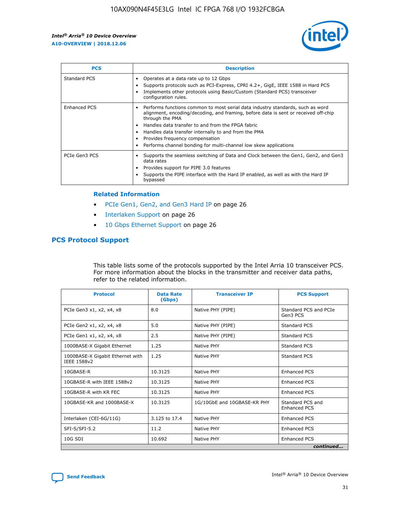

| <b>PCS</b>    | <b>Description</b>                                                                                                                                                                                                                                                                                                                                                                                             |
|---------------|----------------------------------------------------------------------------------------------------------------------------------------------------------------------------------------------------------------------------------------------------------------------------------------------------------------------------------------------------------------------------------------------------------------|
| Standard PCS  | Operates at a data rate up to 12 Gbps<br>Supports protocols such as PCI-Express, CPRI 4.2+, GigE, IEEE 1588 in Hard PCS<br>Implements other protocols using Basic/Custom (Standard PCS) transceiver<br>configuration rules.                                                                                                                                                                                    |
| Enhanced PCS  | Performs functions common to most serial data industry standards, such as word<br>alignment, encoding/decoding, and framing, before data is sent or received off-chip<br>through the PMA<br>• Handles data transfer to and from the FPGA fabric<br>Handles data transfer internally to and from the PMA<br>Provides frequency compensation<br>Performs channel bonding for multi-channel low skew applications |
| PCIe Gen3 PCS | Supports the seamless switching of Data and Clock between the Gen1, Gen2, and Gen3<br>data rates<br>Provides support for PIPE 3.0 features<br>Supports the PIPE interface with the Hard IP enabled, as well as with the Hard IP<br>bypassed                                                                                                                                                                    |

#### **Related Information**

- PCIe Gen1, Gen2, and Gen3 Hard IP on page 26
- Interlaken Support on page 26
- 10 Gbps Ethernet Support on page 26

### **PCS Protocol Support**

This table lists some of the protocols supported by the Intel Arria 10 transceiver PCS. For more information about the blocks in the transmitter and receiver data paths, refer to the related information.

| <b>Protocol</b>                                 | <b>Data Rate</b><br>(Gbps) | <b>Transceiver IP</b>       | <b>PCS Support</b>                      |
|-------------------------------------------------|----------------------------|-----------------------------|-----------------------------------------|
| PCIe Gen3 x1, x2, x4, x8                        | 8.0                        | Native PHY (PIPE)           | Standard PCS and PCIe<br>Gen3 PCS       |
| PCIe Gen2 x1, x2, x4, x8                        | 5.0                        | Native PHY (PIPE)           | <b>Standard PCS</b>                     |
| PCIe Gen1 x1, x2, x4, x8                        | 2.5                        | Native PHY (PIPE)           | Standard PCS                            |
| 1000BASE-X Gigabit Ethernet                     | 1.25                       | Native PHY                  | <b>Standard PCS</b>                     |
| 1000BASE-X Gigabit Ethernet with<br>IEEE 1588v2 | 1.25                       | Native PHY                  | Standard PCS                            |
| 10GBASE-R                                       | 10.3125                    | Native PHY                  | <b>Enhanced PCS</b>                     |
| 10GBASE-R with IEEE 1588v2                      | 10.3125                    | Native PHY                  | <b>Enhanced PCS</b>                     |
| 10GBASE-R with KR FEC                           | 10.3125                    | Native PHY                  | <b>Enhanced PCS</b>                     |
| 10GBASE-KR and 1000BASE-X                       | 10.3125                    | 1G/10GbE and 10GBASE-KR PHY | Standard PCS and<br><b>Enhanced PCS</b> |
| Interlaken (CEI-6G/11G)                         | 3.125 to 17.4              | Native PHY                  | <b>Enhanced PCS</b>                     |
| SFI-S/SFI-5.2                                   | 11.2                       | Native PHY                  | <b>Enhanced PCS</b>                     |
| $10G$ SDI                                       | 10.692                     | Native PHY                  | <b>Enhanced PCS</b>                     |
|                                                 |                            |                             | continued                               |

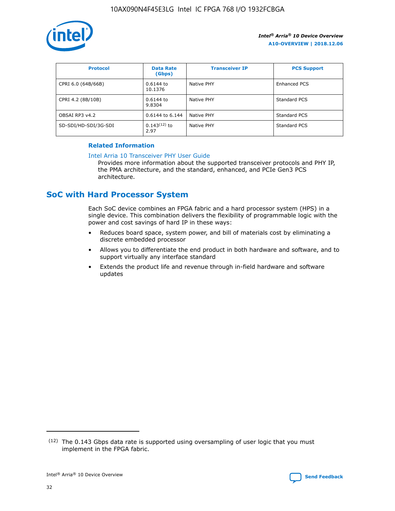

| <b>Protocol</b>      | <b>Data Rate</b><br>(Gbps) | <b>Transceiver IP</b> | <b>PCS Support</b> |
|----------------------|----------------------------|-----------------------|--------------------|
| CPRI 6.0 (64B/66B)   | 0.6144 to<br>10.1376       | Native PHY            | Enhanced PCS       |
| CPRI 4.2 (8B/10B)    | 0.6144 to<br>9.8304        | Native PHY            | Standard PCS       |
| OBSAI RP3 v4.2       | 0.6144 to 6.144            | Native PHY            | Standard PCS       |
| SD-SDI/HD-SDI/3G-SDI | $0.143(12)$ to<br>2.97     | Native PHY            | Standard PCS       |

#### **Related Information**

#### [Intel Arria 10 Transceiver PHY User Guide](https://www.intel.com/content/www/us/en/programmable/documentation/nik1398707230472.html#nik1398707091164)

Provides more information about the supported transceiver protocols and PHY IP, the PMA architecture, and the standard, enhanced, and PCIe Gen3 PCS architecture.

## **SoC with Hard Processor System**

Each SoC device combines an FPGA fabric and a hard processor system (HPS) in a single device. This combination delivers the flexibility of programmable logic with the power and cost savings of hard IP in these ways:

- Reduces board space, system power, and bill of materials cost by eliminating a discrete embedded processor
- Allows you to differentiate the end product in both hardware and software, and to support virtually any interface standard
- Extends the product life and revenue through in-field hardware and software updates

 $(12)$  The 0.143 Gbps data rate is supported using oversampling of user logic that you must implement in the FPGA fabric.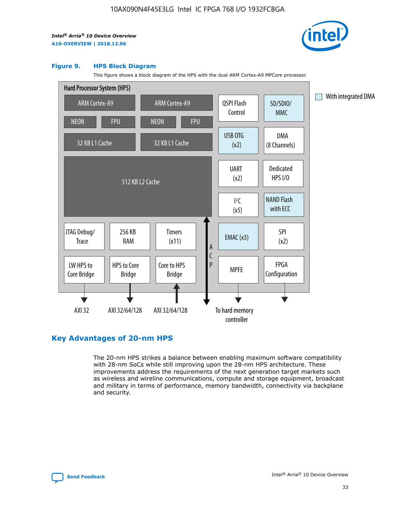

#### **Figure 9. HPS Block Diagram**

This figure shows a block diagram of the HPS with the dual ARM Cortex-A9 MPCore processor.



## **Key Advantages of 20-nm HPS**

The 20-nm HPS strikes a balance between enabling maximum software compatibility with 28-nm SoCs while still improving upon the 28-nm HPS architecture. These improvements address the requirements of the next generation target markets such as wireless and wireline communications, compute and storage equipment, broadcast and military in terms of performance, memory bandwidth, connectivity via backplane and security.

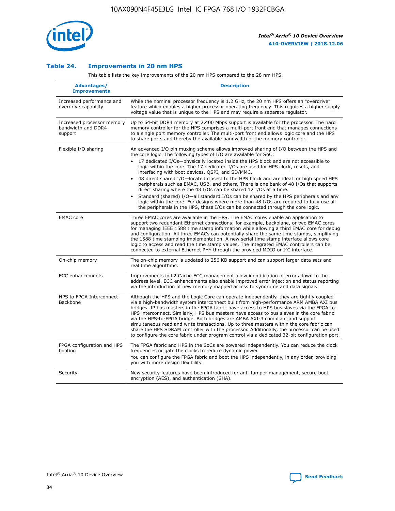

#### **Table 24. Improvements in 20 nm HPS**

This table lists the key improvements of the 20 nm HPS compared to the 28 nm HPS.

| Advantages/<br><b>Improvements</b>                          | <b>Description</b>                                                                                                                                                                                                                                                                                                                                                                                                                                                                                                                                                                                                                                                                                                                                                                                                                                                                                                      |
|-------------------------------------------------------------|-------------------------------------------------------------------------------------------------------------------------------------------------------------------------------------------------------------------------------------------------------------------------------------------------------------------------------------------------------------------------------------------------------------------------------------------------------------------------------------------------------------------------------------------------------------------------------------------------------------------------------------------------------------------------------------------------------------------------------------------------------------------------------------------------------------------------------------------------------------------------------------------------------------------------|
| Increased performance and<br>overdrive capability           | While the nominal processor frequency is 1.2 GHz, the 20 nm HPS offers an "overdrive"<br>feature which enables a higher processor operating frequency. This requires a higher supply<br>voltage value that is unique to the HPS and may require a separate regulator.                                                                                                                                                                                                                                                                                                                                                                                                                                                                                                                                                                                                                                                   |
| Increased processor memory<br>bandwidth and DDR4<br>support | Up to 64-bit DDR4 memory at 2,400 Mbps support is available for the processor. The hard<br>memory controller for the HPS comprises a multi-port front end that manages connections<br>to a single port memory controller. The multi-port front end allows logic core and the HPS<br>to share ports and thereby the available bandwidth of the memory controller.                                                                                                                                                                                                                                                                                                                                                                                                                                                                                                                                                        |
| Flexible I/O sharing                                        | An advanced I/O pin muxing scheme allows improved sharing of I/O between the HPS and<br>the core logic. The following types of I/O are available for SoC:<br>17 dedicated I/Os-physically located inside the HPS block and are not accessible to<br>logic within the core. The 17 dedicated I/Os are used for HPS clock, resets, and<br>interfacing with boot devices, QSPI, and SD/MMC.<br>48 direct shared I/O-located closest to the HPS block and are ideal for high speed HPS<br>peripherals such as EMAC, USB, and others. There is one bank of 48 I/Os that supports<br>direct sharing where the 48 I/Os can be shared 12 I/Os at a time.<br>Standard (shared) I/O-all standard I/Os can be shared by the HPS peripherals and any<br>logic within the core. For designs where more than 48 I/Os are reguired to fully use all<br>the peripherals in the HPS, these I/Os can be connected through the core logic. |
| <b>EMAC</b> core                                            | Three EMAC cores are available in the HPS. The EMAC cores enable an application to<br>support two redundant Ethernet connections; for example, backplane, or two EMAC cores<br>for managing IEEE 1588 time stamp information while allowing a third EMAC core for debug<br>and configuration. All three EMACs can potentially share the same time stamps, simplifying<br>the 1588 time stamping implementation. A new serial time stamp interface allows core<br>logic to access and read the time stamp values. The integrated EMAC controllers can be<br>connected to external Ethernet PHY through the provided MDIO or I <sup>2</sup> C interface.                                                                                                                                                                                                                                                                  |
| On-chip memory                                              | The on-chip memory is updated to 256 KB support and can support larger data sets and<br>real time algorithms.                                                                                                                                                                                                                                                                                                                                                                                                                                                                                                                                                                                                                                                                                                                                                                                                           |
| <b>ECC</b> enhancements                                     | Improvements in L2 Cache ECC management allow identification of errors down to the<br>address level. ECC enhancements also enable improved error injection and status reporting<br>via the introduction of new memory mapped access to syndrome and data signals.                                                                                                                                                                                                                                                                                                                                                                                                                                                                                                                                                                                                                                                       |
| HPS to FPGA Interconnect<br>Backbone                        | Although the HPS and the Logic Core can operate independently, they are tightly coupled<br>via a high-bandwidth system interconnect built from high-performance ARM AMBA AXI bus<br>bridges. IP bus masters in the FPGA fabric have access to HPS bus slaves via the FPGA-to-<br>HPS interconnect. Similarly, HPS bus masters have access to bus slaves in the core fabric<br>via the HPS-to-FPGA bridge. Both bridges are AMBA AXI-3 compliant and support<br>simultaneous read and write transactions. Up to three masters within the core fabric can<br>share the HPS SDRAM controller with the processor. Additionally, the processor can be used<br>to configure the core fabric under program control via a dedicated 32-bit configuration port.                                                                                                                                                                  |
| FPGA configuration and HPS<br>booting                       | The FPGA fabric and HPS in the SoCs are powered independently. You can reduce the clock<br>frequencies or gate the clocks to reduce dynamic power.<br>You can configure the FPGA fabric and boot the HPS independently, in any order, providing<br>you with more design flexibility.                                                                                                                                                                                                                                                                                                                                                                                                                                                                                                                                                                                                                                    |
| Security                                                    | New security features have been introduced for anti-tamper management, secure boot,<br>encryption (AES), and authentication (SHA).                                                                                                                                                                                                                                                                                                                                                                                                                                                                                                                                                                                                                                                                                                                                                                                      |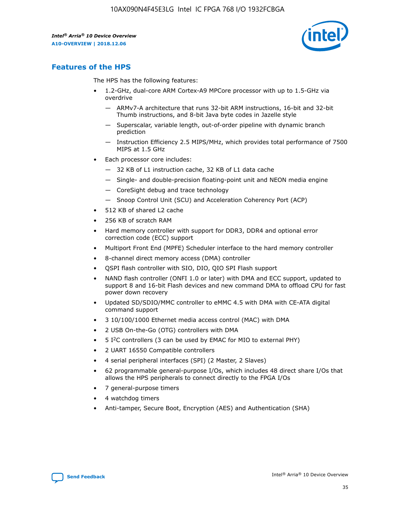

## **Features of the HPS**

The HPS has the following features:

- 1.2-GHz, dual-core ARM Cortex-A9 MPCore processor with up to 1.5-GHz via overdrive
	- ARMv7-A architecture that runs 32-bit ARM instructions, 16-bit and 32-bit Thumb instructions, and 8-bit Java byte codes in Jazelle style
	- Superscalar, variable length, out-of-order pipeline with dynamic branch prediction
	- Instruction Efficiency 2.5 MIPS/MHz, which provides total performance of 7500 MIPS at 1.5 GHz
- Each processor core includes:
	- 32 KB of L1 instruction cache, 32 KB of L1 data cache
	- Single- and double-precision floating-point unit and NEON media engine
	- CoreSight debug and trace technology
	- Snoop Control Unit (SCU) and Acceleration Coherency Port (ACP)
- 512 KB of shared L2 cache
- 256 KB of scratch RAM
- Hard memory controller with support for DDR3, DDR4 and optional error correction code (ECC) support
- Multiport Front End (MPFE) Scheduler interface to the hard memory controller
- 8-channel direct memory access (DMA) controller
- QSPI flash controller with SIO, DIO, QIO SPI Flash support
- NAND flash controller (ONFI 1.0 or later) with DMA and ECC support, updated to support 8 and 16-bit Flash devices and new command DMA to offload CPU for fast power down recovery
- Updated SD/SDIO/MMC controller to eMMC 4.5 with DMA with CE-ATA digital command support
- 3 10/100/1000 Ethernet media access control (MAC) with DMA
- 2 USB On-the-Go (OTG) controllers with DMA
- $\bullet$  5 I<sup>2</sup>C controllers (3 can be used by EMAC for MIO to external PHY)
- 2 UART 16550 Compatible controllers
- 4 serial peripheral interfaces (SPI) (2 Master, 2 Slaves)
- 62 programmable general-purpose I/Os, which includes 48 direct share I/Os that allows the HPS peripherals to connect directly to the FPGA I/Os
- 7 general-purpose timers
- 4 watchdog timers
- Anti-tamper, Secure Boot, Encryption (AES) and Authentication (SHA)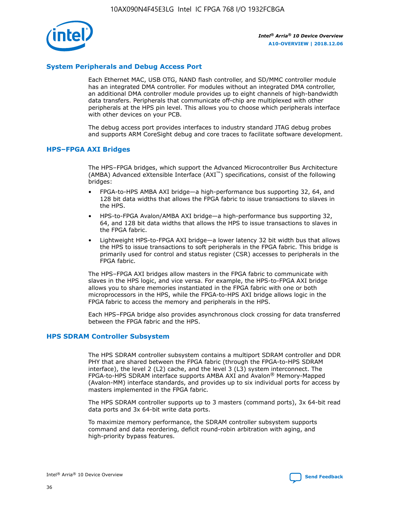

#### **System Peripherals and Debug Access Port**

Each Ethernet MAC, USB OTG, NAND flash controller, and SD/MMC controller module has an integrated DMA controller. For modules without an integrated DMA controller, an additional DMA controller module provides up to eight channels of high-bandwidth data transfers. Peripherals that communicate off-chip are multiplexed with other peripherals at the HPS pin level. This allows you to choose which peripherals interface with other devices on your PCB.

The debug access port provides interfaces to industry standard JTAG debug probes and supports ARM CoreSight debug and core traces to facilitate software development.

#### **HPS–FPGA AXI Bridges**

The HPS–FPGA bridges, which support the Advanced Microcontroller Bus Architecture (AMBA) Advanced eXtensible Interface (AXI™) specifications, consist of the following bridges:

- FPGA-to-HPS AMBA AXI bridge—a high-performance bus supporting 32, 64, and 128 bit data widths that allows the FPGA fabric to issue transactions to slaves in the HPS.
- HPS-to-FPGA Avalon/AMBA AXI bridge—a high-performance bus supporting 32, 64, and 128 bit data widths that allows the HPS to issue transactions to slaves in the FPGA fabric.
- Lightweight HPS-to-FPGA AXI bridge—a lower latency 32 bit width bus that allows the HPS to issue transactions to soft peripherals in the FPGA fabric. This bridge is primarily used for control and status register (CSR) accesses to peripherals in the FPGA fabric.

The HPS–FPGA AXI bridges allow masters in the FPGA fabric to communicate with slaves in the HPS logic, and vice versa. For example, the HPS-to-FPGA AXI bridge allows you to share memories instantiated in the FPGA fabric with one or both microprocessors in the HPS, while the FPGA-to-HPS AXI bridge allows logic in the FPGA fabric to access the memory and peripherals in the HPS.

Each HPS–FPGA bridge also provides asynchronous clock crossing for data transferred between the FPGA fabric and the HPS.

#### **HPS SDRAM Controller Subsystem**

The HPS SDRAM controller subsystem contains a multiport SDRAM controller and DDR PHY that are shared between the FPGA fabric (through the FPGA-to-HPS SDRAM interface), the level 2 (L2) cache, and the level 3 (L3) system interconnect. The FPGA-to-HPS SDRAM interface supports AMBA AXI and Avalon® Memory-Mapped (Avalon-MM) interface standards, and provides up to six individual ports for access by masters implemented in the FPGA fabric.

The HPS SDRAM controller supports up to 3 masters (command ports), 3x 64-bit read data ports and 3x 64-bit write data ports.

To maximize memory performance, the SDRAM controller subsystem supports command and data reordering, deficit round-robin arbitration with aging, and high-priority bypass features.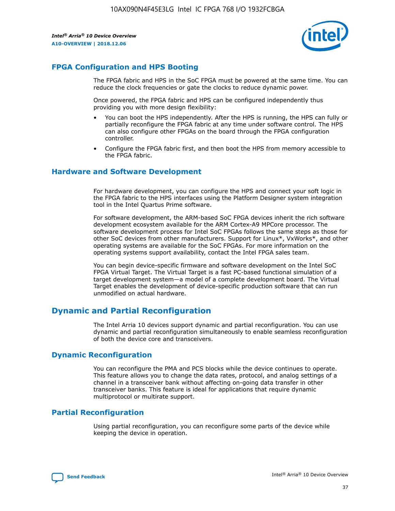

## **FPGA Configuration and HPS Booting**

The FPGA fabric and HPS in the SoC FPGA must be powered at the same time. You can reduce the clock frequencies or gate the clocks to reduce dynamic power.

Once powered, the FPGA fabric and HPS can be configured independently thus providing you with more design flexibility:

- You can boot the HPS independently. After the HPS is running, the HPS can fully or partially reconfigure the FPGA fabric at any time under software control. The HPS can also configure other FPGAs on the board through the FPGA configuration controller.
- Configure the FPGA fabric first, and then boot the HPS from memory accessible to the FPGA fabric.

#### **Hardware and Software Development**

For hardware development, you can configure the HPS and connect your soft logic in the FPGA fabric to the HPS interfaces using the Platform Designer system integration tool in the Intel Quartus Prime software.

For software development, the ARM-based SoC FPGA devices inherit the rich software development ecosystem available for the ARM Cortex-A9 MPCore processor. The software development process for Intel SoC FPGAs follows the same steps as those for other SoC devices from other manufacturers. Support for Linux\*, VxWorks\*, and other operating systems are available for the SoC FPGAs. For more information on the operating systems support availability, contact the Intel FPGA sales team.

You can begin device-specific firmware and software development on the Intel SoC FPGA Virtual Target. The Virtual Target is a fast PC-based functional simulation of a target development system—a model of a complete development board. The Virtual Target enables the development of device-specific production software that can run unmodified on actual hardware.

## **Dynamic and Partial Reconfiguration**

The Intel Arria 10 devices support dynamic and partial reconfiguration. You can use dynamic and partial reconfiguration simultaneously to enable seamless reconfiguration of both the device core and transceivers.

## **Dynamic Reconfiguration**

You can reconfigure the PMA and PCS blocks while the device continues to operate. This feature allows you to change the data rates, protocol, and analog settings of a channel in a transceiver bank without affecting on-going data transfer in other transceiver banks. This feature is ideal for applications that require dynamic multiprotocol or multirate support.

## **Partial Reconfiguration**

Using partial reconfiguration, you can reconfigure some parts of the device while keeping the device in operation.

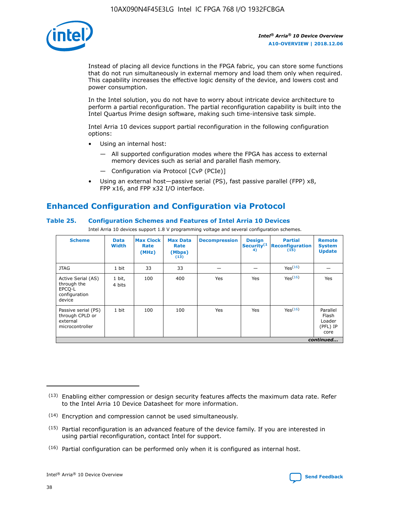

Instead of placing all device functions in the FPGA fabric, you can store some functions that do not run simultaneously in external memory and load them only when required. This capability increases the effective logic density of the device, and lowers cost and power consumption.

In the Intel solution, you do not have to worry about intricate device architecture to perform a partial reconfiguration. The partial reconfiguration capability is built into the Intel Quartus Prime design software, making such time-intensive task simple.

Intel Arria 10 devices support partial reconfiguration in the following configuration options:

- Using an internal host:
	- All supported configuration modes where the FPGA has access to external memory devices such as serial and parallel flash memory.
	- Configuration via Protocol [CvP (PCIe)]
- Using an external host—passive serial (PS), fast passive parallel (FPP) x8, FPP x16, and FPP x32 I/O interface.

## **Enhanced Configuration and Configuration via Protocol**

#### **Table 25. Configuration Schemes and Features of Intel Arria 10 Devices**

Intel Arria 10 devices support 1.8 V programming voltage and several configuration schemes.

| <b>Scheme</b>                                                          | <b>Data</b><br><b>Width</b> | <b>Max Clock</b><br>Rate<br>(MHz) | <b>Max Data</b><br>Rate<br>(Mbps)<br>(13) | <b>Decompression</b> | <b>Design</b><br>Security <sup>(1</sup><br>4) | <b>Partial</b><br><b>Reconfiguration</b><br>(15) | <b>Remote</b><br><b>System</b><br><b>Update</b> |
|------------------------------------------------------------------------|-----------------------------|-----------------------------------|-------------------------------------------|----------------------|-----------------------------------------------|--------------------------------------------------|-------------------------------------------------|
| <b>JTAG</b>                                                            | 1 bit                       | 33                                | 33                                        |                      |                                               | Yes <sup>(16)</sup>                              |                                                 |
| Active Serial (AS)<br>through the<br>EPCO-L<br>configuration<br>device | 1 bit,<br>4 bits            | 100                               | 400                                       | Yes                  | Yes                                           | $Y_{PS}(16)$                                     | Yes                                             |
| Passive serial (PS)<br>through CPLD or<br>external<br>microcontroller  | 1 bit                       | 100                               | 100                                       | Yes                  | Yes                                           | Yes(16)                                          | Parallel<br>Flash<br>Loader<br>(PFL) IP<br>core |
|                                                                        |                             |                                   |                                           |                      |                                               |                                                  | continued                                       |

<sup>(13)</sup> Enabling either compression or design security features affects the maximum data rate. Refer to the Intel Arria 10 Device Datasheet for more information.

<sup>(14)</sup> Encryption and compression cannot be used simultaneously.

 $<sup>(15)</sup>$  Partial reconfiguration is an advanced feature of the device family. If you are interested in</sup> using partial reconfiguration, contact Intel for support.

 $(16)$  Partial configuration can be performed only when it is configured as internal host.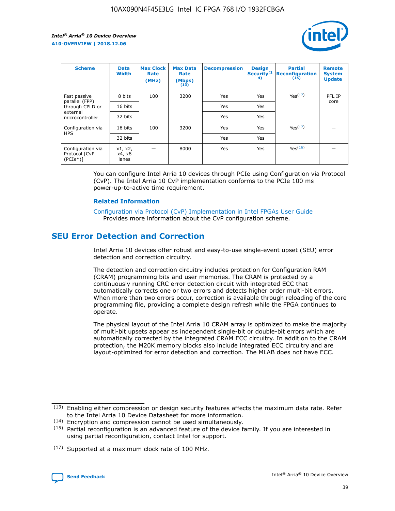

| <b>Scheme</b>                                    | <b>Data</b><br><b>Width</b> | <b>Max Clock</b><br>Rate<br>(MHz) | <b>Max Data</b><br>Rate<br>(Mbps)<br>(13) | <b>Decompression</b> | <b>Design</b><br>Security <sup>(1</sup><br>4) | <b>Partial</b><br><b>Reconfiguration</b><br>(15) | <b>Remote</b><br><b>System</b><br><b>Update</b> |
|--------------------------------------------------|-----------------------------|-----------------------------------|-------------------------------------------|----------------------|-----------------------------------------------|--------------------------------------------------|-------------------------------------------------|
| Fast passive                                     | 8 bits                      | 100                               | 3200                                      | Yes                  | Yes                                           | Yes(17)                                          | PFL IP                                          |
| parallel (FPP)<br>through CPLD or                | 16 bits                     |                                   |                                           | Yes                  | Yes                                           |                                                  | core                                            |
| external<br>microcontroller                      | 32 bits                     |                                   |                                           | Yes                  | Yes                                           |                                                  |                                                 |
| Configuration via                                | 16 bits                     | 100                               | 3200                                      | Yes                  | Yes                                           | Yes <sup>(17)</sup>                              |                                                 |
| <b>HPS</b>                                       | 32 bits                     |                                   |                                           | Yes                  | Yes                                           |                                                  |                                                 |
| Configuration via<br>Protocol [CvP<br>$(PCIe^*)$ | x1, x2,<br>x4, x8<br>lanes  |                                   | 8000                                      | Yes                  | Yes                                           | Yes(16)                                          |                                                 |

You can configure Intel Arria 10 devices through PCIe using Configuration via Protocol (CvP). The Intel Arria 10 CvP implementation conforms to the PCIe 100 ms power-up-to-active time requirement.

#### **Related Information**

[Configuration via Protocol \(CvP\) Implementation in Intel FPGAs User Guide](https://www.intel.com/content/www/us/en/programmable/documentation/dsu1441819344145.html#dsu1442269728522) Provides more information about the CvP configuration scheme.

## **SEU Error Detection and Correction**

Intel Arria 10 devices offer robust and easy-to-use single-event upset (SEU) error detection and correction circuitry.

The detection and correction circuitry includes protection for Configuration RAM (CRAM) programming bits and user memories. The CRAM is protected by a continuously running CRC error detection circuit with integrated ECC that automatically corrects one or two errors and detects higher order multi-bit errors. When more than two errors occur, correction is available through reloading of the core programming file, providing a complete design refresh while the FPGA continues to operate.

The physical layout of the Intel Arria 10 CRAM array is optimized to make the majority of multi-bit upsets appear as independent single-bit or double-bit errors which are automatically corrected by the integrated CRAM ECC circuitry. In addition to the CRAM protection, the M20K memory blocks also include integrated ECC circuitry and are layout-optimized for error detection and correction. The MLAB does not have ECC.

<sup>(17)</sup> Supported at a maximum clock rate of 100 MHz.



 $(13)$  Enabling either compression or design security features affects the maximum data rate. Refer to the Intel Arria 10 Device Datasheet for more information.

<sup>(14)</sup> Encryption and compression cannot be used simultaneously.

 $(15)$  Partial reconfiguration is an advanced feature of the device family. If you are interested in using partial reconfiguration, contact Intel for support.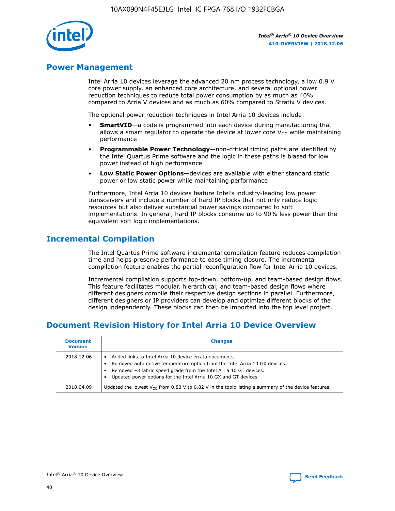

## **Power Management**

Intel Arria 10 devices leverage the advanced 20 nm process technology, a low 0.9 V core power supply, an enhanced core architecture, and several optional power reduction techniques to reduce total power consumption by as much as 40% compared to Arria V devices and as much as 60% compared to Stratix V devices.

The optional power reduction techniques in Intel Arria 10 devices include:

- **SmartVID**—a code is programmed into each device during manufacturing that allows a smart regulator to operate the device at lower core  $V_{CC}$  while maintaining performance
- **Programmable Power Technology**—non-critical timing paths are identified by the Intel Quartus Prime software and the logic in these paths is biased for low power instead of high performance
- **Low Static Power Options**—devices are available with either standard static power or low static power while maintaining performance

Furthermore, Intel Arria 10 devices feature Intel's industry-leading low power transceivers and include a number of hard IP blocks that not only reduce logic resources but also deliver substantial power savings compared to soft implementations. In general, hard IP blocks consume up to 90% less power than the equivalent soft logic implementations.

## **Incremental Compilation**

The Intel Quartus Prime software incremental compilation feature reduces compilation time and helps preserve performance to ease timing closure. The incremental compilation feature enables the partial reconfiguration flow for Intel Arria 10 devices.

Incremental compilation supports top-down, bottom-up, and team-based design flows. This feature facilitates modular, hierarchical, and team-based design flows where different designers compile their respective design sections in parallel. Furthermore, different designers or IP providers can develop and optimize different blocks of the design independently. These blocks can then be imported into the top level project.

## **Document Revision History for Intel Arria 10 Device Overview**

| <b>Document</b><br><b>Version</b> | <b>Changes</b>                                                                                                                                                                                                                                                              |
|-----------------------------------|-----------------------------------------------------------------------------------------------------------------------------------------------------------------------------------------------------------------------------------------------------------------------------|
| 2018.12.06                        | Added links to Intel Arria 10 device errata documents.<br>Removed automotive temperature option from the Intel Arria 10 GX devices.<br>Removed -3 fabric speed grade from the Intel Arria 10 GT devices.<br>Updated power options for the Intel Arria 10 GX and GT devices. |
| 2018.04.09                        | Updated the lowest $V_{CC}$ from 0.83 V to 0.82 V in the topic listing a summary of the device features.                                                                                                                                                                    |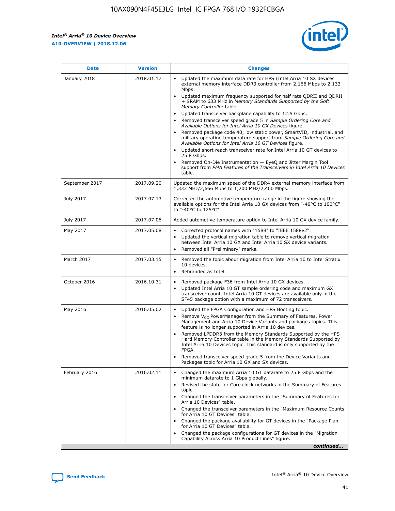*Intel® Arria® 10 Device Overview* **A10-OVERVIEW | 2018.12.06**



| <b>Date</b>    | <b>Version</b> | <b>Changes</b>                                                                                                                                                                                                                                                                                                                                                                                                                                                                                                                                                                                                                                                                                                                                                                                                                                                                                                                                                            |
|----------------|----------------|---------------------------------------------------------------------------------------------------------------------------------------------------------------------------------------------------------------------------------------------------------------------------------------------------------------------------------------------------------------------------------------------------------------------------------------------------------------------------------------------------------------------------------------------------------------------------------------------------------------------------------------------------------------------------------------------------------------------------------------------------------------------------------------------------------------------------------------------------------------------------------------------------------------------------------------------------------------------------|
| January 2018   | 2018.01.17     | Updated the maximum data rate for HPS (Intel Arria 10 SX devices<br>external memory interface DDR3 controller from 2,166 Mbps to 2,133<br>Mbps.<br>Updated maximum frequency supported for half rate QDRII and QDRII<br>+ SRAM to 633 MHz in Memory Standards Supported by the Soft<br>Memory Controller table.<br>Updated transceiver backplane capability to 12.5 Gbps.<br>$\bullet$<br>Removed transceiver speed grade 5 in Sample Ordering Core and<br>Available Options for Intel Arria 10 GX Devices figure.<br>Removed package code 40, low static power, SmartVID, industrial, and<br>military operating temperature support from Sample Ordering Core and<br>Available Options for Intel Arria 10 GT Devices figure.<br>Updated short reach transceiver rate for Intel Arria 10 GT devices to<br>25.8 Gbps.<br>Removed On-Die Instrumentation - EyeQ and Jitter Margin Tool<br>support from PMA Features of the Transceivers in Intel Arria 10 Devices<br>table. |
| September 2017 | 2017.09.20     | Updated the maximum speed of the DDR4 external memory interface from<br>1,333 MHz/2,666 Mbps to 1,200 MHz/2,400 Mbps.                                                                                                                                                                                                                                                                                                                                                                                                                                                                                                                                                                                                                                                                                                                                                                                                                                                     |
| July 2017      | 2017.07.13     | Corrected the automotive temperature range in the figure showing the<br>available options for the Intel Arria 10 GX devices from "-40°C to 100°C"<br>to "-40°C to 125°C".                                                                                                                                                                                                                                                                                                                                                                                                                                                                                                                                                                                                                                                                                                                                                                                                 |
| July 2017      | 2017.07.06     | Added automotive temperature option to Intel Arria 10 GX device family.                                                                                                                                                                                                                                                                                                                                                                                                                                                                                                                                                                                                                                                                                                                                                                                                                                                                                                   |
| May 2017       | 2017.05.08     | Corrected protocol names with "1588" to "IEEE 1588v2".<br>$\bullet$<br>Updated the vertical migration table to remove vertical migration<br>$\bullet$<br>between Intel Arria 10 GX and Intel Arria 10 SX device variants.<br>Removed all "Preliminary" marks.<br>$\bullet$                                                                                                                                                                                                                                                                                                                                                                                                                                                                                                                                                                                                                                                                                                |
| March 2017     | 2017.03.15     | Removed the topic about migration from Intel Arria 10 to Intel Stratix<br>10 devices.<br>Rebranded as Intel.<br>$\bullet$                                                                                                                                                                                                                                                                                                                                                                                                                                                                                                                                                                                                                                                                                                                                                                                                                                                 |
| October 2016   | 2016.10.31     | Removed package F36 from Intel Arria 10 GX devices.<br>Updated Intel Arria 10 GT sample ordering code and maximum GX<br>$\bullet$<br>transceiver count. Intel Arria 10 GT devices are available only in the<br>SF45 package option with a maximum of 72 transceivers.                                                                                                                                                                                                                                                                                                                                                                                                                                                                                                                                                                                                                                                                                                     |
| May 2016       | 2016.05.02     | Updated the FPGA Configuration and HPS Booting topic.<br>$\bullet$<br>Remove V <sub>CC</sub> PowerManager from the Summary of Features, Power<br>Management and Arria 10 Device Variants and packages topics. This<br>feature is no longer supported in Arria 10 devices.<br>Removed LPDDR3 from the Memory Standards Supported by the HPS<br>Hard Memory Controller table in the Memory Standards Supported by<br>Intel Arria 10 Devices topic. This standard is only supported by the<br>FPGA.<br>Removed transceiver speed grade 5 from the Device Variants and<br>Packages topic for Arria 10 GX and SX devices.                                                                                                                                                                                                                                                                                                                                                      |
| February 2016  | 2016.02.11     | Changed the maximum Arria 10 GT datarate to 25.8 Gbps and the<br>minimum datarate to 1 Gbps globally.<br>Revised the state for Core clock networks in the Summary of Features<br>$\bullet$<br>topic.<br>Changed the transceiver parameters in the "Summary of Features for<br>$\bullet$<br>Arria 10 Devices" table.<br>• Changed the transceiver parameters in the "Maximum Resource Counts<br>for Arria 10 GT Devices" table.<br>Changed the package availability for GT devices in the "Package Plan<br>for Arria 10 GT Devices" table.<br>Changed the package configurations for GT devices in the "Migration"<br>Capability Across Arria 10 Product Lines" figure.<br>continued                                                                                                                                                                                                                                                                                       |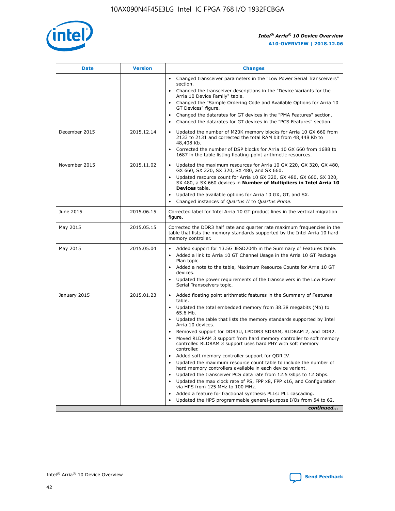

| <b>Date</b>   | <b>Version</b> | <b>Changes</b>                                                                                                                                                               |
|---------------|----------------|------------------------------------------------------------------------------------------------------------------------------------------------------------------------------|
|               |                | • Changed transceiver parameters in the "Low Power Serial Transceivers"<br>section.                                                                                          |
|               |                | • Changed the transceiver descriptions in the "Device Variants for the<br>Arria 10 Device Family" table.                                                                     |
|               |                | Changed the "Sample Ordering Code and Available Options for Arria 10<br>$\bullet$<br>GT Devices" figure.                                                                     |
|               |                | Changed the datarates for GT devices in the "PMA Features" section.                                                                                                          |
|               |                | Changed the datarates for GT devices in the "PCS Features" section.<br>$\bullet$                                                                                             |
| December 2015 | 2015.12.14     | Updated the number of M20K memory blocks for Arria 10 GX 660 from<br>2133 to 2131 and corrected the total RAM bit from 48,448 Kb to<br>48,408 Kb.                            |
|               |                | Corrected the number of DSP blocks for Arria 10 GX 660 from 1688 to<br>1687 in the table listing floating-point arithmetic resources.                                        |
| November 2015 | 2015.11.02     | Updated the maximum resources for Arria 10 GX 220, GX 320, GX 480,<br>$\bullet$<br>GX 660, SX 220, SX 320, SX 480, and SX 660.                                               |
|               |                | • Updated resource count for Arria 10 GX 320, GX 480, GX 660, SX 320,<br>SX 480, a SX 660 devices in Number of Multipliers in Intel Arria 10<br><b>Devices</b> table.        |
|               |                | Updated the available options for Arria 10 GX, GT, and SX.                                                                                                                   |
|               |                | Changed instances of Quartus II to Quartus Prime.<br>$\bullet$                                                                                                               |
| June 2015     | 2015.06.15     | Corrected label for Intel Arria 10 GT product lines in the vertical migration<br>figure.                                                                                     |
| May 2015      | 2015.05.15     | Corrected the DDR3 half rate and quarter rate maximum frequencies in the<br>table that lists the memory standards supported by the Intel Arria 10 hard<br>memory controller. |
| May 2015      | 2015.05.04     | • Added support for 13.5G JESD204b in the Summary of Features table.<br>• Added a link to Arria 10 GT Channel Usage in the Arria 10 GT Package<br>Plan topic.                |
|               |                | • Added a note to the table, Maximum Resource Counts for Arria 10 GT<br>devices.                                                                                             |
|               |                | • Updated the power requirements of the transceivers in the Low Power<br>Serial Transceivers topic.                                                                          |
| January 2015  | 2015.01.23     | • Added floating point arithmetic features in the Summary of Features<br>table.                                                                                              |
|               |                | • Updated the total embedded memory from 38.38 megabits (Mb) to<br>65.6 Mb.                                                                                                  |
|               |                | • Updated the table that lists the memory standards supported by Intel<br>Arria 10 devices.                                                                                  |
|               |                | Removed support for DDR3U, LPDDR3 SDRAM, RLDRAM 2, and DDR2.                                                                                                                 |
|               |                | Moved RLDRAM 3 support from hard memory controller to soft memory<br>controller. RLDRAM 3 support uses hard PHY with soft memory<br>controller.                              |
|               |                | Added soft memory controller support for QDR IV.<br>٠                                                                                                                        |
|               |                | Updated the maximum resource count table to include the number of<br>hard memory controllers available in each device variant.                                               |
|               |                | Updated the transceiver PCS data rate from 12.5 Gbps to 12 Gbps.<br>$\bullet$                                                                                                |
|               |                | Updated the max clock rate of PS, FPP x8, FPP x16, and Configuration<br>via HPS from 125 MHz to 100 MHz.                                                                     |
|               |                | Added a feature for fractional synthesis PLLs: PLL cascading.                                                                                                                |
|               |                | Updated the HPS programmable general-purpose I/Os from 54 to 62.<br>$\bullet$<br>continued                                                                                   |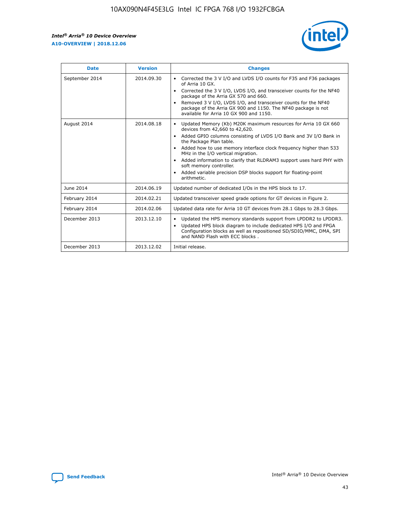r



| <b>Date</b>    | <b>Version</b> | <b>Changes</b>                                                                                                                                                                                                                                                                                                                                                                                                                                                                                                                                      |
|----------------|----------------|-----------------------------------------------------------------------------------------------------------------------------------------------------------------------------------------------------------------------------------------------------------------------------------------------------------------------------------------------------------------------------------------------------------------------------------------------------------------------------------------------------------------------------------------------------|
| September 2014 | 2014.09.30     | Corrected the 3 V I/O and LVDS I/O counts for F35 and F36 packages<br>$\bullet$<br>of Arria 10 GX.<br>Corrected the 3 V I/O, LVDS I/O, and transceiver counts for the NF40<br>$\bullet$<br>package of the Arria GX 570 and 660.<br>Removed 3 V I/O, LVDS I/O, and transceiver counts for the NF40<br>$\bullet$<br>package of the Arria GX 900 and 1150. The NF40 package is not<br>available for Arria 10 GX 900 and 1150.                                                                                                                          |
| August 2014    | 2014.08.18     | Updated Memory (Kb) M20K maximum resources for Arria 10 GX 660<br>devices from 42,660 to 42,620.<br>Added GPIO columns consisting of LVDS I/O Bank and 3V I/O Bank in<br>$\bullet$<br>the Package Plan table.<br>Added how to use memory interface clock frequency higher than 533<br>$\bullet$<br>MHz in the I/O vertical migration.<br>Added information to clarify that RLDRAM3 support uses hard PHY with<br>$\bullet$<br>soft memory controller.<br>Added variable precision DSP blocks support for floating-point<br>$\bullet$<br>arithmetic. |
| June 2014      | 2014.06.19     | Updated number of dedicated I/Os in the HPS block to 17.                                                                                                                                                                                                                                                                                                                                                                                                                                                                                            |
| February 2014  | 2014.02.21     | Updated transceiver speed grade options for GT devices in Figure 2.                                                                                                                                                                                                                                                                                                                                                                                                                                                                                 |
| February 2014  | 2014.02.06     | Updated data rate for Arria 10 GT devices from 28.1 Gbps to 28.3 Gbps.                                                                                                                                                                                                                                                                                                                                                                                                                                                                              |
| December 2013  | 2013.12.10     | Updated the HPS memory standards support from LPDDR2 to LPDDR3.<br>Updated HPS block diagram to include dedicated HPS I/O and FPGA<br>$\bullet$<br>Configuration blocks as well as repositioned SD/SDIO/MMC, DMA, SPI<br>and NAND Flash with ECC blocks.                                                                                                                                                                                                                                                                                            |
| December 2013  | 2013.12.02     | Initial release.                                                                                                                                                                                                                                                                                                                                                                                                                                                                                                                                    |